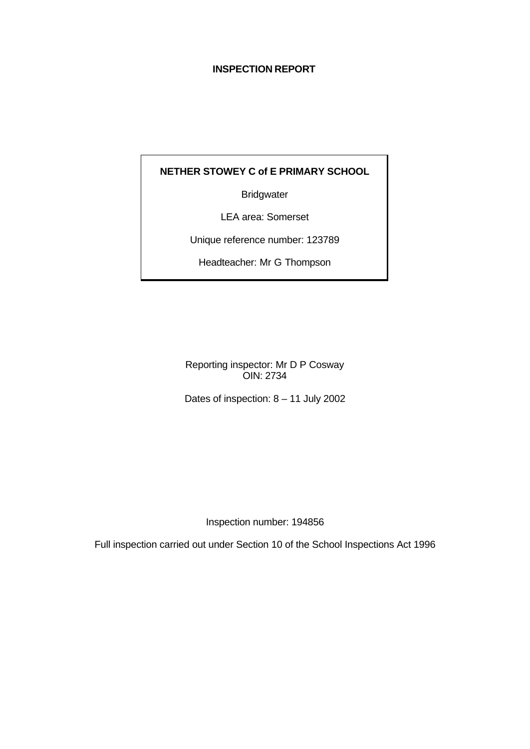# **INSPECTION REPORT**

# **NETHER STOWEY C of E PRIMARY SCHOOL**

**Bridgwater** 

LEA area: Somerset

Unique reference number: 123789

Headteacher: Mr G Thompson

Reporting inspector: Mr D P Cosway OIN: 2734

Dates of inspection: 8 – 11 July 2002

Inspection number: 194856

Full inspection carried out under Section 10 of the School Inspections Act 1996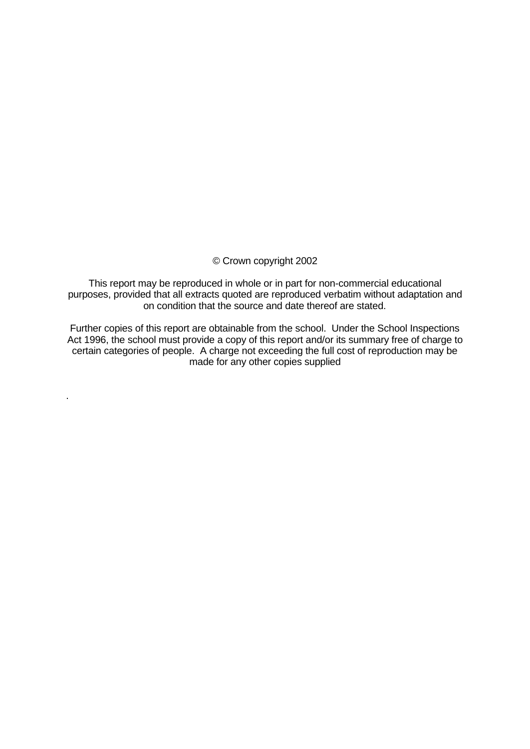## © Crown copyright 2002

This report may be reproduced in whole or in part for non-commercial educational purposes, provided that all extracts quoted are reproduced verbatim without adaptation and on condition that the source and date thereof are stated.

Further copies of this report are obtainable from the school. Under the School Inspections Act 1996, the school must provide a copy of this report and/or its summary free of charge to certain categories of people. A charge not exceeding the full cost of reproduction may be made for any other copies supplied

.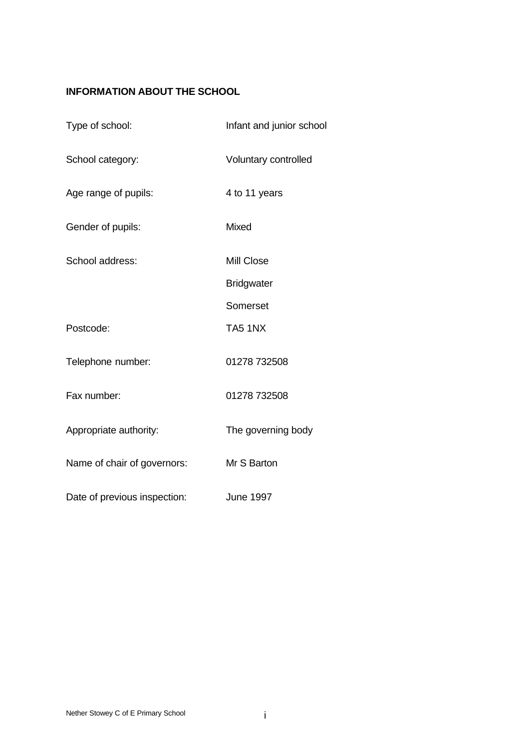# **INFORMATION ABOUT THE SCHOOL**

| Type of school:              | Infant and junior school |
|------------------------------|--------------------------|
| School category:             | Voluntary controlled     |
| Age range of pupils:         | 4 to 11 years            |
| Gender of pupils:            | <b>Mixed</b>             |
| School address:              | Mill Close               |
|                              | <b>Bridgwater</b>        |
|                              | Somerset                 |
| Postcode:                    | TA51NX                   |
| Telephone number:            | 01278 732508             |
| Fax number:                  | 01278 732508             |
| Appropriate authority:       | The governing body       |
| Name of chair of governors:  | Mr S Barton              |
| Date of previous inspection: | <b>June 1997</b>         |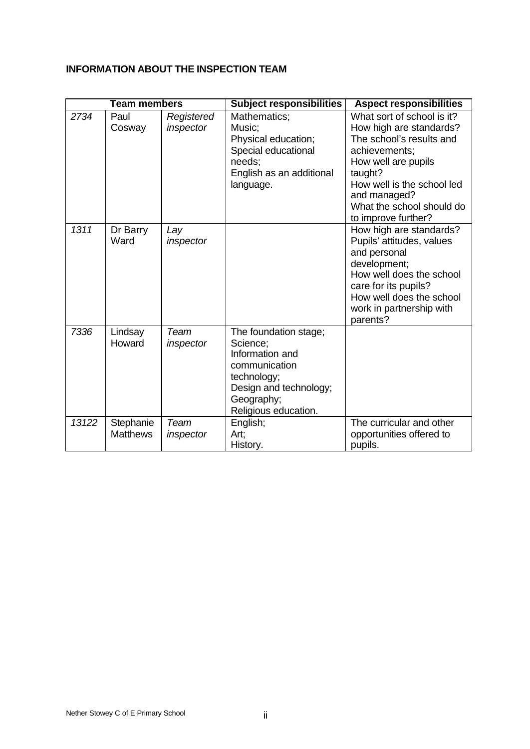# **INFORMATION ABOUT THE INSPECTION TEAM**

|       | <b>Team members</b>          |                         | <b>Subject responsibilities</b>                                                                                                                      | <b>Aspect responsibilities</b>                                                                                                                                                                                                         |
|-------|------------------------------|-------------------------|------------------------------------------------------------------------------------------------------------------------------------------------------|----------------------------------------------------------------------------------------------------------------------------------------------------------------------------------------------------------------------------------------|
| 2734  | Paul<br>Cosway               | Registered<br>inspector | Mathematics;<br>Music;<br>Physical education;<br>Special educational<br>needs:<br>English as an additional<br>language.                              | What sort of school is it?<br>How high are standards?<br>The school's results and<br>achievements;<br>How well are pupils<br>taught?<br>How well is the school led<br>and managed?<br>What the school should do<br>to improve further? |
| 1311  | Dr Barry<br>Ward             | Lay<br>inspector        |                                                                                                                                                      | How high are standards?<br>Pupils' attitudes, values<br>and personal<br>development;<br>How well does the school<br>care for its pupils?<br>How well does the school<br>work in partnership with<br>parents?                           |
| 7336  | Lindsay<br>Howard            | Team<br>inspector       | The foundation stage;<br>Science:<br>Information and<br>communication<br>technology;<br>Design and technology;<br>Geography;<br>Religious education. |                                                                                                                                                                                                                                        |
| 13122 | Stephanie<br><b>Matthews</b> | Team<br>inspector       | English;<br>Art:<br>History.                                                                                                                         | The curricular and other<br>opportunities offered to<br>pupils.                                                                                                                                                                        |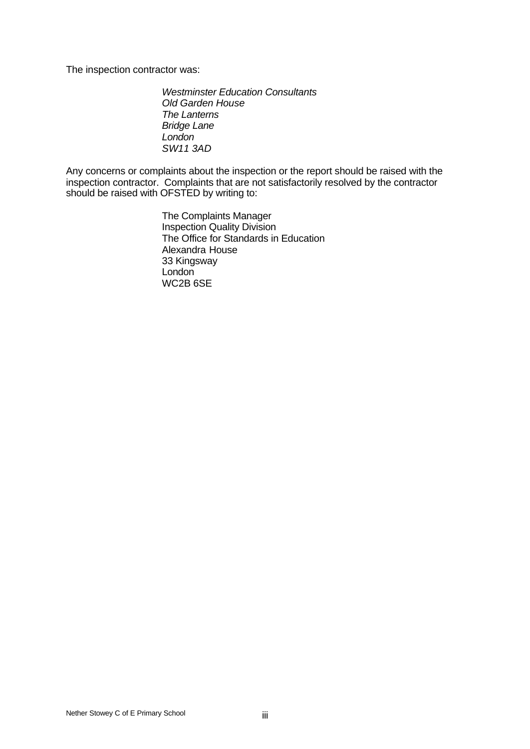The inspection contractor was:

*Westminster Education Consultants Old Garden House The Lanterns Bridge Lane London SW11 3AD*

Any concerns or complaints about the inspection or the report should be raised with the inspection contractor. Complaints that are not satisfactorily resolved by the contractor should be raised with OFSTED by writing to:

> The Complaints Manager Inspection Quality Division The Office for Standards in Education Alexandra House 33 Kingsway London WC2B 6SE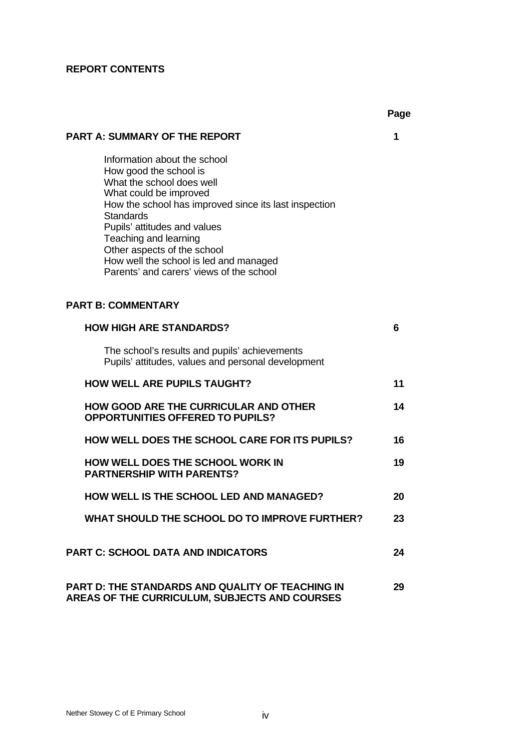# **REPORT CONTENTS**

|                                                                                                                                                                                                                                                                                                                                                                          | ı ay <del>c</del> |
|--------------------------------------------------------------------------------------------------------------------------------------------------------------------------------------------------------------------------------------------------------------------------------------------------------------------------------------------------------------------------|-------------------|
| <b>PART A: SUMMARY OF THE REPORT</b>                                                                                                                                                                                                                                                                                                                                     | 1                 |
| Information about the school<br>How good the school is<br>What the school does well<br>What could be improved<br>How the school has improved since its last inspection<br><b>Standards</b><br>Pupils' attitudes and values<br>Teaching and learning<br>Other aspects of the school<br>How well the school is led and managed<br>Parents' and carers' views of the school |                   |
| <b>PART B: COMMENTARY</b>                                                                                                                                                                                                                                                                                                                                                |                   |
| <b>HOW HIGH ARE STANDARDS?</b>                                                                                                                                                                                                                                                                                                                                           | 6                 |
| The school's results and pupils' achievements<br>Pupils' attitudes, values and personal development                                                                                                                                                                                                                                                                      |                   |
| <b>HOW WELL ARE PUPILS TAUGHT?</b>                                                                                                                                                                                                                                                                                                                                       | 11                |
| <b>HOW GOOD ARE THE CURRICULAR AND OTHER</b><br><b>OPPORTUNITIES OFFERED TO PUPILS?</b>                                                                                                                                                                                                                                                                                  | 14                |
| <b>HOW WELL DOES THE SCHOOL CARE FOR ITS PUPILS?</b>                                                                                                                                                                                                                                                                                                                     | 16                |
| <b>HOW WELL DOES THE SCHOOL WORK IN</b><br><b>PARTNERSHIP WITH PARENTS?</b>                                                                                                                                                                                                                                                                                              | 19                |
| <b>HOW WELL IS THE SCHOOL LED AND MANAGED?</b>                                                                                                                                                                                                                                                                                                                           | 20                |
| WHAT SHOULD THE SCHOOL DO TO IMPROVE FURTHER?                                                                                                                                                                                                                                                                                                                            | 23                |
| <b>PART C: SCHOOL DATA AND INDICATORS</b>                                                                                                                                                                                                                                                                                                                                | 24                |
| <b>PART D: THE STANDARDS AND QUALITY OF TEACHING IN</b><br>AREAS OF THE CURRICULUM, SUBJECTS AND COURSES                                                                                                                                                                                                                                                                 | 29                |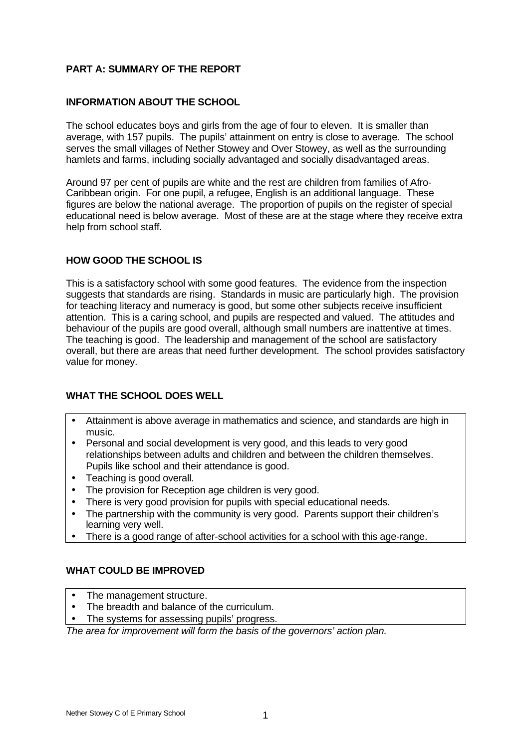# **PART A: SUMMARY OF THE REPORT**

# **INFORMATION ABOUT THE SCHOOL**

The school educates boys and girls from the age of four to eleven. It is smaller than average, with 157 pupils. The pupils' attainment on entry is close to average. The school serves the small villages of Nether Stowey and Over Stowey, as well as the surrounding hamlets and farms, including socially advantaged and socially disadvantaged areas.

Around 97 per cent of pupils are white and the rest are children from families of Afro-Caribbean origin. For one pupil, a refugee, English is an additional language. These figures are below the national average. The proportion of pupils on the register of special educational need is below average. Most of these are at the stage where they receive extra help from school staff.

# **HOW GOOD THE SCHOOL IS**

This is a satisfactory school with some good features. The evidence from the inspection suggests that standards are rising. Standards in music are particularly high. The provision for teaching literacy and numeracy is good, but some other subjects receive insufficient attention. This is a caring school, and pupils are respected and valued. The attitudes and behaviour of the pupils are good overall, although small numbers are inattentive at times. The teaching is good. The leadership and management of the school are satisfactory overall, but there are areas that need further development. The school provides satisfactory value for money.

# **WHAT THE SCHOOL DOES WELL**

- Attainment is above average in mathematics and science, and standards are high in music.
- Personal and social development is very good, and this leads to very good relationships between adults and children and between the children themselves. Pupils like school and their attendance is good.
- Teaching is good overall.
- The provision for Reception age children is very good.
- There is very good provision for pupils with special educational needs.
- The partnership with the community is very good. Parents support their children's learning very well.
- There is a good range of after-school activities for a school with this age-range.

# **WHAT COULD BE IMPROVED**

- The management structure.
- The breadth and balance of the curriculum.
- The systems for assessing pupils' progress.

*The area for improvement will form the basis of the governors' action plan.*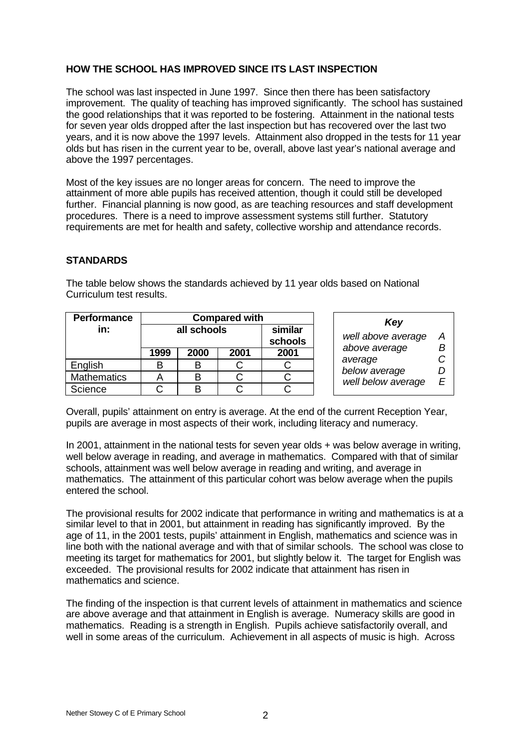# **HOW THE SCHOOL HAS IMPROVED SINCE ITS LAST INSPECTION**

The school was last inspected in June 1997. Since then there has been satisfactory improvement. The quality of teaching has improved significantly. The school has sustained the good relationships that it was reported to be fostering. Attainment in the national tests for seven year olds dropped after the last inspection but has recovered over the last two years, and it is now above the 1997 levels. Attainment also dropped in the tests for 11 year olds but has risen in the current year to be, overall, above last year's national average and above the 1997 percentages.

Most of the key issues are no longer areas for concern. The need to improve the attainment of more able pupils has received attention, though it could still be developed further. Financial planning is now good, as are teaching resources and staff development procedures. There is a need to improve assessment systems still further. Statutory requirements are met for health and safety, collective worship and attendance records.

# **STANDARDS**

| Performance        | <b>Compared with</b> |                    |  |  |  |
|--------------------|----------------------|--------------------|--|--|--|
| in:                | all schools          | similar<br>schools |  |  |  |
|                    | 1999                 | 2001               |  |  |  |
| English            | В                    |                    |  |  |  |
| <b>Mathematics</b> |                      |                    |  |  |  |
| Science            |                      |                    |  |  |  |

The table below shows the standards achieved by 11 year olds based on National Curriculum test results.

| Key                |   |
|--------------------|---|
| well above average | А |
| above average      | B |
| average            | C |
| below average      | D |
| well below average | F |

Overall, pupils' attainment on entry is average. At the end of the current Reception Year, pupils are average in most aspects of their work, including literacy and numeracy.

In 2001, attainment in the national tests for seven year olds + was below average in writing, well below average in reading, and average in mathematics. Compared with that of similar schools, attainment was well below average in reading and writing, and average in mathematics. The attainment of this particular cohort was below average when the pupils entered the school.

The provisional results for 2002 indicate that performance in writing and mathematics is at a similar level to that in 2001, but attainment in reading has significantly improved. By the age of 11, in the 2001 tests, pupils' attainment in English, mathematics and science was in line both with the national average and with that of similar schools. The school was close to meeting its target for mathematics for 2001, but slightly below it. The target for English was exceeded. The provisional results for 2002 indicate that attainment has risen in mathematics and science.

The finding of the inspection is that current levels of attainment in mathematics and science are above average and that attainment in English is average. Numeracy skills are good in mathematics. Reading is a strength in English. Pupils achieve satisfactorily overall, and well in some areas of the curriculum. Achievement in all aspects of music is high. Across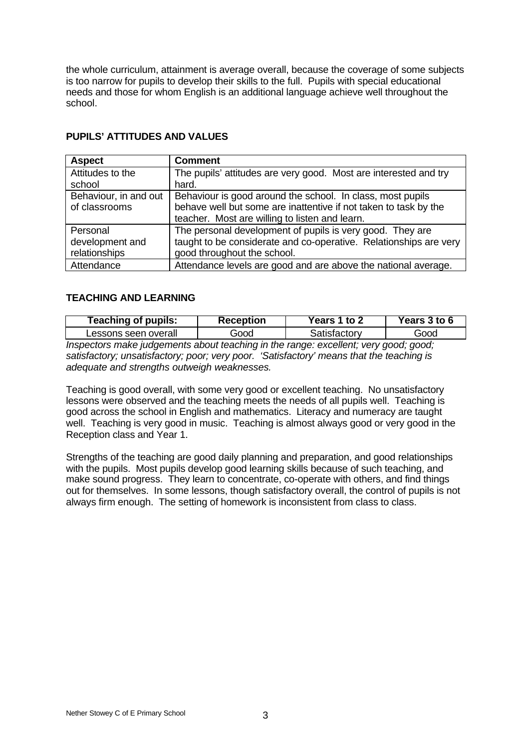the whole curriculum, attainment is average overall, because the coverage of some subjects is too narrow for pupils to develop their skills to the full. Pupils with special educational needs and those for whom English is an additional language achieve well throughout the school.

| <b>Aspect</b>         | <b>Comment</b>                                                    |
|-----------------------|-------------------------------------------------------------------|
| Attitudes to the      | The pupils' attitudes are very good. Most are interested and try  |
| school                | hard.                                                             |
| Behaviour, in and out | Behaviour is good around the school. In class, most pupils        |
| of classrooms         | behave well but some are inattentive if not taken to task by the  |
|                       | teacher. Most are willing to listen and learn.                    |
| Personal              | The personal development of pupils is very good. They are         |
| development and       | taught to be considerate and co-operative. Relationships are very |
| relationships         | good throughout the school.                                       |
| Attendance            | Attendance levels are good and are above the national average.    |

# **PUPILS' ATTITUDES AND VALUES**

## **TEACHING AND LEARNING**

| <b>Teaching of pupils:</b>   | Reception | <b>Years 1 to 2</b> | Years 3 to 6 |  |
|------------------------------|-----------|---------------------|--------------|--|
| Lessons seen overall<br>Good |           | Satisfactorv        | Good         |  |
|                              |           |                     |              |  |

*Inspectors make judgements about teaching in the range: excellent; very good; good; satisfactory; unsatisfactory; poor; very poor. 'Satisfactory' means that the teaching is adequate and strengths outweigh weaknesses.*

Teaching is good overall, with some very good or excellent teaching. No unsatisfactory lessons were observed and the teaching meets the needs of all pupils well. Teaching is good across the school in English and mathematics. Literacy and numeracy are taught well. Teaching is very good in music. Teaching is almost always good or very good in the Reception class and Year 1.

Strengths of the teaching are good daily planning and preparation, and good relationships with the pupils. Most pupils develop good learning skills because of such teaching, and make sound progress. They learn to concentrate, co-operate with others, and find things out for themselves. In some lessons, though satisfactory overall, the control of pupils is not always firm enough. The setting of homework is inconsistent from class to class.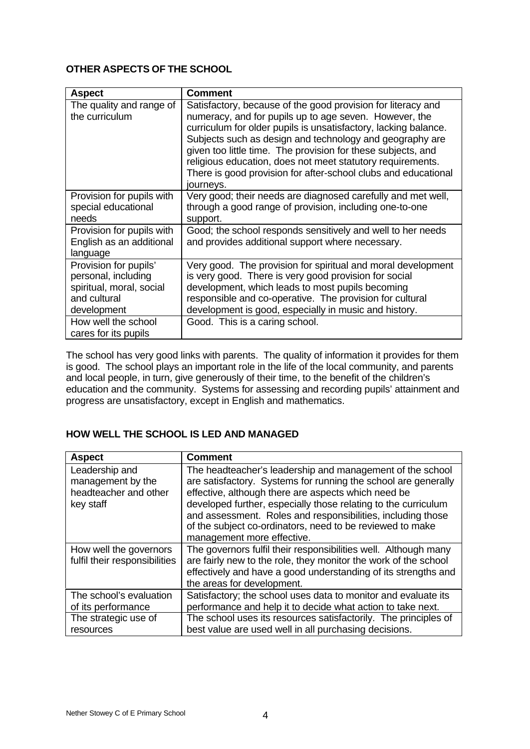# **OTHER ASPECTS OF THE SCHOOL**

| <b>Aspect</b>                                                                                           | <b>Comment</b>                                                                                                                                                                                                                                                                                                                                                                                                                                                     |
|---------------------------------------------------------------------------------------------------------|--------------------------------------------------------------------------------------------------------------------------------------------------------------------------------------------------------------------------------------------------------------------------------------------------------------------------------------------------------------------------------------------------------------------------------------------------------------------|
| The quality and range of<br>the curriculum                                                              | Satisfactory, because of the good provision for literacy and<br>numeracy, and for pupils up to age seven. However, the<br>curriculum for older pupils is unsatisfactory, lacking balance.<br>Subjects such as design and technology and geography are<br>given too little time. The provision for these subjects, and<br>religious education, does not meet statutory requirements.<br>There is good provision for after-school clubs and educational<br>journeys. |
| Provision for pupils with<br>special educational<br>needs                                               | Very good; their needs are diagnosed carefully and met well,<br>through a good range of provision, including one-to-one<br>support.                                                                                                                                                                                                                                                                                                                                |
| Provision for pupils with<br>English as an additional<br>language                                       | Good; the school responds sensitively and well to her needs<br>and provides additional support where necessary.                                                                                                                                                                                                                                                                                                                                                    |
| Provision for pupils'<br>personal, including<br>spiritual, moral, social<br>and cultural<br>development | Very good. The provision for spiritual and moral development<br>is very good. There is very good provision for social<br>development, which leads to most pupils becoming<br>responsible and co-operative. The provision for cultural<br>development is good, especially in music and history.                                                                                                                                                                     |
| How well the school<br>cares for its pupils                                                             | Good. This is a caring school.                                                                                                                                                                                                                                                                                                                                                                                                                                     |

The school has very good links with parents. The quality of information it provides for them is good. The school plays an important role in the life of the local community, and parents and local people, in turn, give generously of their time, to the benefit of the children's education and the community. Systems for assessing and recording pupils' attainment and progress are unsatisfactory, except in English and mathematics.

# **HOW WELL THE SCHOOL IS LED AND MANAGED**

| <b>Aspect</b>                                                             | <b>Comment</b>                                                                                                                                                                                                                                                                                                                                                                                                 |
|---------------------------------------------------------------------------|----------------------------------------------------------------------------------------------------------------------------------------------------------------------------------------------------------------------------------------------------------------------------------------------------------------------------------------------------------------------------------------------------------------|
| Leadership and<br>management by the<br>headteacher and other<br>key staff | The headteacher's leadership and management of the school<br>are satisfactory. Systems for running the school are generally<br>effective, although there are aspects which need be<br>developed further, especially those relating to the curriculum<br>and assessment. Roles and responsibilities, including those<br>of the subject co-ordinators, need to be reviewed to make<br>management more effective. |
| How well the governors<br>fulfil their responsibilities                   | The governors fulfil their responsibilities well. Although many<br>are fairly new to the role, they monitor the work of the school<br>effectively and have a good understanding of its strengths and<br>the areas for development.                                                                                                                                                                             |
| The school's evaluation<br>of its performance                             | Satisfactory; the school uses data to monitor and evaluate its<br>performance and help it to decide what action to take next.                                                                                                                                                                                                                                                                                  |
| The strategic use of<br>resources                                         | The school uses its resources satisfactorily. The principles of<br>best value are used well in all purchasing decisions.                                                                                                                                                                                                                                                                                       |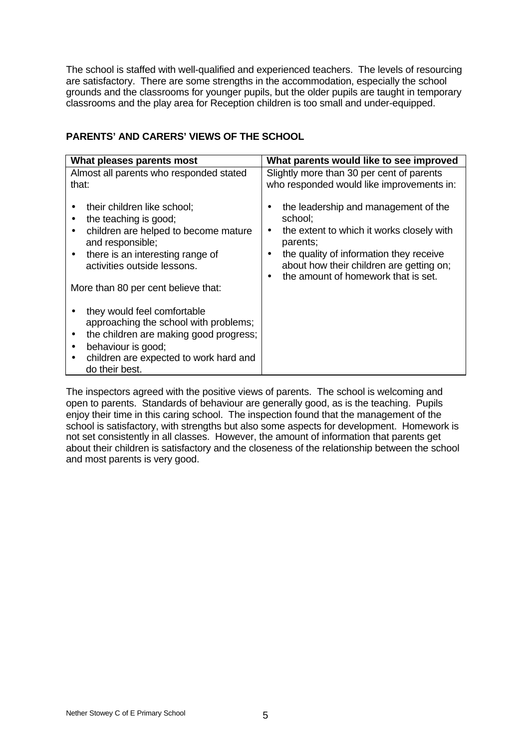The school is staffed with well-qualified and experienced teachers. The levels of resourcing are satisfactory. There are some strengths in the accommodation, especially the school grounds and the classrooms for younger pupils, but the older pupils are taught in temporary classrooms and the play area for Reception children is too small and under-equipped.

| What pleases parents most                                                                                                                                                                                                               | What parents would like to see improved                                                                                                                                                                                                                                       |
|-----------------------------------------------------------------------------------------------------------------------------------------------------------------------------------------------------------------------------------------|-------------------------------------------------------------------------------------------------------------------------------------------------------------------------------------------------------------------------------------------------------------------------------|
| Almost all parents who responded stated<br>that:                                                                                                                                                                                        | Slightly more than 30 per cent of parents<br>who responded would like improvements in:                                                                                                                                                                                        |
| their children like school;<br>the teaching is good;<br>children are helped to become mature<br>and responsible;<br>there is an interesting range of<br>$\bullet$<br>activities outside lessons.<br>More than 80 per cent believe that: | the leadership and management of the<br>school:<br>the extent to which it works closely with<br>$\bullet$<br>parents;<br>the quality of information they receive<br>$\bullet$<br>about how their children are getting on;<br>the amount of homework that is set.<br>$\bullet$ |
| they would feel comfortable<br>approaching the school with problems;<br>the children are making good progress;<br>$\bullet$<br>behaviour is good;<br>children are expected to work hard and<br>do their best.                           |                                                                                                                                                                                                                                                                               |

# **PARENTS' AND CARERS' VIEWS OF THE SCHOOL**

The inspectors agreed with the positive views of parents. The school is welcoming and open to parents. Standards of behaviour are generally good, as is the teaching. Pupils enjoy their time in this caring school. The inspection found that the management of the school is satisfactory, with strengths but also some aspects for development. Homework is not set consistently in all classes. However, the amount of information that parents get about their children is satisfactory and the closeness of the relationship between the school and most parents is very good.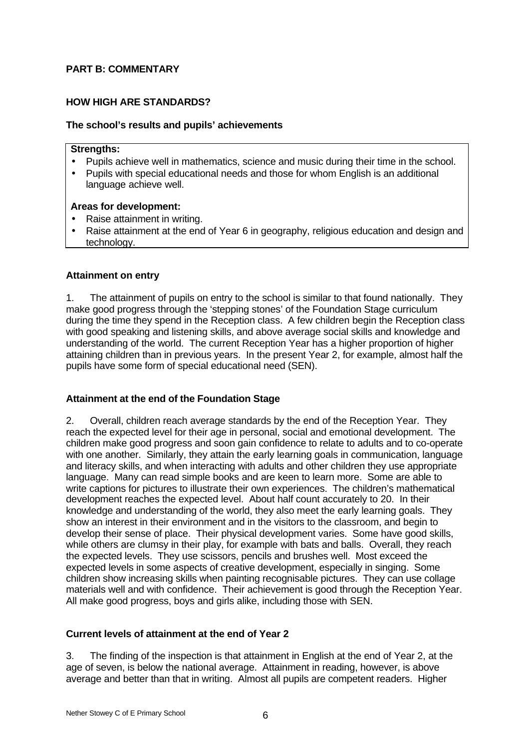# **PART B: COMMENTARY**

# **HOW HIGH ARE STANDARDS?**

## **The school's results and pupils' achievements**

## **Strengths:**

- Pupils achieve well in mathematics, science and music during their time in the school.
- Pupils with special educational needs and those for whom English is an additional language achieve well.

## **Areas for development:**

- Raise attainment in writing.
- Raise attainment at the end of Year 6 in geography, religious education and design and technology.

## **Attainment on entry**

1. The attainment of pupils on entry to the school is similar to that found nationally. They make good progress through the 'stepping stones' of the Foundation Stage curriculum during the time they spend in the Reception class. A few children begin the Reception class with good speaking and listening skills, and above average social skills and knowledge and understanding of the world. The current Reception Year has a higher proportion of higher attaining children than in previous years. In the present Year 2, for example, almost half the pupils have some form of special educational need (SEN).

## **Attainment at the end of the Foundation Stage**

2. Overall, children reach average standards by the end of the Reception Year. They reach the expected level for their age in personal, social and emotional development. The children make good progress and soon gain confidence to relate to adults and to co-operate with one another. Similarly, they attain the early learning goals in communication, language and literacy skills, and when interacting with adults and other children they use appropriate language. Many can read simple books and are keen to learn more. Some are able to write captions for pictures to illustrate their own experiences. The children's mathematical development reaches the expected level. About half count accurately to 20. In their knowledge and understanding of the world, they also meet the early learning goals. They show an interest in their environment and in the visitors to the classroom, and begin to develop their sense of place. Their physical development varies. Some have good skills, while others are clumsy in their play, for example with bats and balls. Overall, they reach the expected levels. They use scissors, pencils and brushes well. Most exceed the expected levels in some aspects of creative development, especially in singing. Some children show increasing skills when painting recognisable pictures. They can use collage materials well and with confidence. Their achievement is good through the Reception Year. All make good progress, boys and girls alike, including those with SEN.

# **Current levels of attainment at the end of Year 2**

3. The finding of the inspection is that attainment in English at the end of Year 2, at the age of seven, is below the national average. Attainment in reading, however, is above average and better than that in writing. Almost all pupils are competent readers. Higher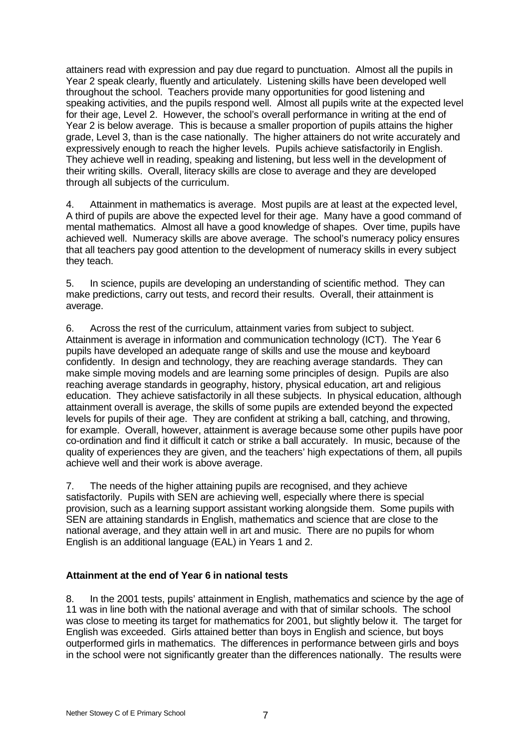attainers read with expression and pay due regard to punctuation. Almost all the pupils in Year 2 speak clearly, fluently and articulately. Listening skills have been developed well throughout the school. Teachers provide many opportunities for good listening and speaking activities, and the pupils respond well. Almost all pupils write at the expected level for their age, Level 2. However, the school's overall performance in writing at the end of Year 2 is below average. This is because a smaller proportion of pupils attains the higher grade, Level 3, than is the case nationally. The higher attainers do not write accurately and expressively enough to reach the higher levels. Pupils achieve satisfactorily in English. They achieve well in reading, speaking and listening, but less well in the development of their writing skills. Overall, literacy skills are close to average and they are developed through all subjects of the curriculum.

4. Attainment in mathematics is average. Most pupils are at least at the expected level, A third of pupils are above the expected level for their age. Many have a good command of mental mathematics. Almost all have a good knowledge of shapes. Over time, pupils have achieved well. Numeracy skills are above average. The school's numeracy policy ensures that all teachers pay good attention to the development of numeracy skills in every subject they teach.

5. In science, pupils are developing an understanding of scientific method. They can make predictions, carry out tests, and record their results. Overall, their attainment is average.

6. Across the rest of the curriculum, attainment varies from subject to subject. Attainment is average in information and communication technology (ICT). The Year 6 pupils have developed an adequate range of skills and use the mouse and keyboard confidently. In design and technology, they are reaching average standards. They can make simple moving models and are learning some principles of design. Pupils are also reaching average standards in geography, history, physical education, art and religious education. They achieve satisfactorily in all these subjects. In physical education, although attainment overall is average, the skills of some pupils are extended beyond the expected levels for pupils of their age. They are confident at striking a ball, catching, and throwing, for example. Overall, however, attainment is average because some other pupils have poor co-ordination and find it difficult it catch or strike a ball accurately. In music, because of the quality of experiences they are given, and the teachers' high expectations of them, all pupils achieve well and their work is above average.

7. The needs of the higher attaining pupils are recognised, and they achieve satisfactorily. Pupils with SEN are achieving well, especially where there is special provision, such as a learning support assistant working alongside them. Some pupils with SEN are attaining standards in English, mathematics and science that are close to the national average, and they attain well in art and music. There are no pupils for whom English is an additional language (EAL) in Years 1 and 2.

# **Attainment at the end of Year 6 in national tests**

8. In the 2001 tests, pupils' attainment in English, mathematics and science by the age of 11 was in line both with the national average and with that of similar schools. The school was close to meeting its target for mathematics for 2001, but slightly below it. The target for English was exceeded. Girls attained better than boys in English and science, but boys outperformed girls in mathematics. The differences in performance between girls and boys in the school were not significantly greater than the differences nationally. The results were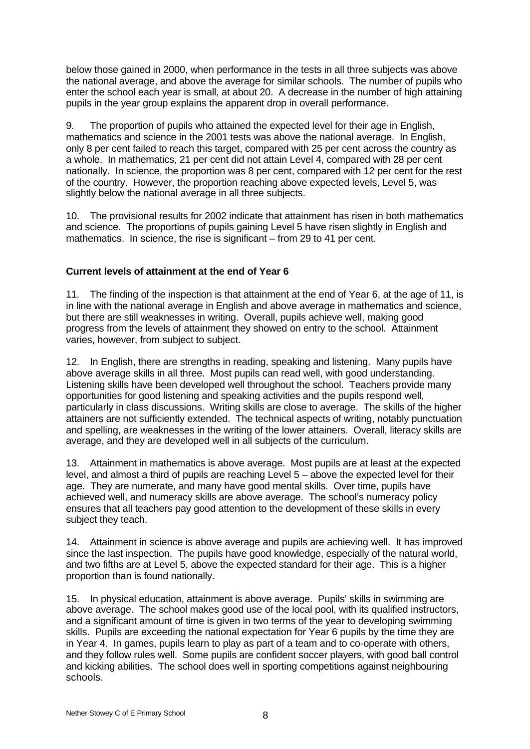below those gained in 2000, when performance in the tests in all three subjects was above the national average, and above the average for similar schools. The number of pupils who enter the school each year is small, at about 20. A decrease in the number of high attaining pupils in the year group explains the apparent drop in overall performance.

9. The proportion of pupils who attained the expected level for their age in English, mathematics and science in the 2001 tests was above the national average. In English, only 8 per cent failed to reach this target, compared with 25 per cent across the country as a whole. In mathematics, 21 per cent did not attain Level 4, compared with 28 per cent nationally. In science, the proportion was 8 per cent, compared with 12 per cent for the rest of the country. However, the proportion reaching above expected levels, Level 5, was slightly below the national average in all three subjects.

10. The provisional results for 2002 indicate that attainment has risen in both mathematics and science. The proportions of pupils gaining Level 5 have risen slightly in English and mathematics. In science, the rise is significant – from 29 to 41 per cent.

# **Current levels of attainment at the end of Year 6**

11. The finding of the inspection is that attainment at the end of Year 6, at the age of 11, is in line with the national average in English and above average in mathematics and science, but there are still weaknesses in writing. Overall, pupils achieve well, making good progress from the levels of attainment they showed on entry to the school. Attainment varies, however, from subject to subject.

12. In English, there are strengths in reading, speaking and listening. Many pupils have above average skills in all three. Most pupils can read well, with good understanding. Listening skills have been developed well throughout the school. Teachers provide many opportunities for good listening and speaking activities and the pupils respond well, particularly in class discussions. Writing skills are close to average. The skills of the higher attainers are not sufficiently extended. The technical aspects of writing, notably punctuation and spelling, are weaknesses in the writing of the lower attainers. Overall, literacy skills are average, and they are developed well in all subjects of the curriculum.

13. Attainment in mathematics is above average. Most pupils are at least at the expected level, and almost a third of pupils are reaching Level 5 – above the expected level for their age. They are numerate, and many have good mental skills. Over time, pupils have achieved well, and numeracy skills are above average. The school's numeracy policy ensures that all teachers pay good attention to the development of these skills in every subject they teach.

14. Attainment in science is above average and pupils are achieving well. It has improved since the last inspection. The pupils have good knowledge, especially of the natural world, and two fifths are at Level 5, above the expected standard for their age. This is a higher proportion than is found nationally.

15. In physical education, attainment is above average. Pupils' skills in swimming are above average. The school makes good use of the local pool, with its qualified instructors, and a significant amount of time is given in two terms of the year to developing swimming skills. Pupils are exceeding the national expectation for Year 6 pupils by the time they are in Year 4. In games, pupils learn to play as part of a team and to co-operate with others, and they follow rules well. Some pupils are confident soccer players, with good ball control and kicking abilities. The school does well in sporting competitions against neighbouring schools.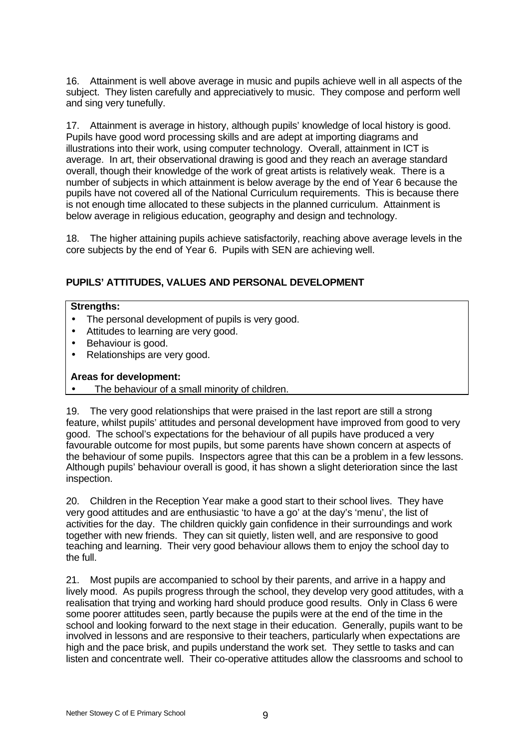16. Attainment is well above average in music and pupils achieve well in all aspects of the subject. They listen carefully and appreciatively to music. They compose and perform well and sing very tunefully.

17. Attainment is average in history, although pupils' knowledge of local history is good. Pupils have good word processing skills and are adept at importing diagrams and illustrations into their work, using computer technology. Overall, attainment in ICT is average. In art, their observational drawing is good and they reach an average standard overall, though their knowledge of the work of great artists is relatively weak. There is a number of subjects in which attainment is below average by the end of Year 6 because the pupils have not covered all of the National Curriculum requirements. This is because there is not enough time allocated to these subjects in the planned curriculum. Attainment is below average in religious education, geography and design and technology.

18. The higher attaining pupils achieve satisfactorily, reaching above average levels in the core subjects by the end of Year 6. Pupils with SEN are achieving well.

# **PUPILS' ATTITUDES, VALUES AND PERSONAL DEVELOPMENT**

### **Strengths:**

- The personal development of pupils is very good.
- Attitudes to learning are very good.
- Behaviour is good.
- Relationships are very good.

## **Areas for development:**

The behaviour of a small minority of children.

19. The very good relationships that were praised in the last report are still a strong feature, whilst pupils' attitudes and personal development have improved from good to very good. The school's expectations for the behaviour of all pupils have produced a very favourable outcome for most pupils, but some parents have shown concern at aspects of the behaviour of some pupils. Inspectors agree that this can be a problem in a few lessons. Although pupils' behaviour overall is good, it has shown a slight deterioration since the last inspection.

20. Children in the Reception Year make a good start to their school lives. They have very good attitudes and are enthusiastic 'to have a go' at the day's 'menu', the list of activities for the day. The children quickly gain confidence in their surroundings and work together with new friends. They can sit quietly, listen well, and are responsive to good teaching and learning. Their very good behaviour allows them to enjoy the school day to the full.

21. Most pupils are accompanied to school by their parents, and arrive in a happy and lively mood. As pupils progress through the school, they develop very good attitudes, with a realisation that trying and working hard should produce good results. Only in Class 6 were some poorer attitudes seen, partly because the pupils were at the end of the time in the school and looking forward to the next stage in their education. Generally, pupils want to be involved in lessons and are responsive to their teachers, particularly when expectations are high and the pace brisk, and pupils understand the work set. They settle to tasks and can listen and concentrate well. Their co-operative attitudes allow the classrooms and school to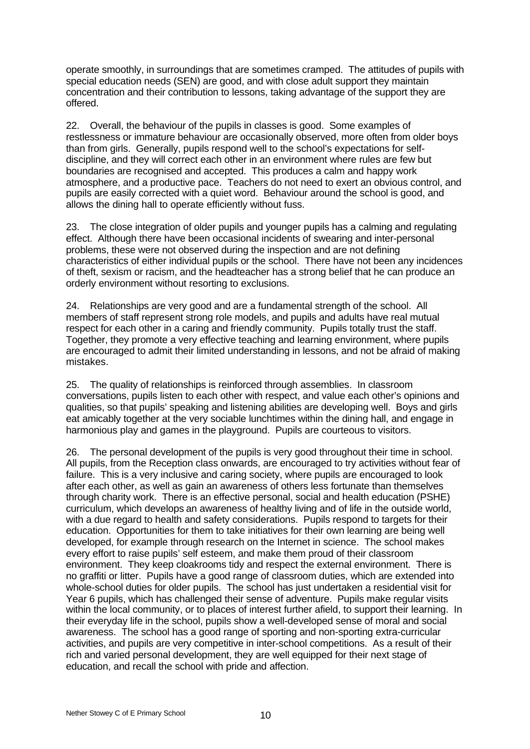operate smoothly, in surroundings that are sometimes cramped. The attitudes of pupils with special education needs (SEN) are good, and with close adult support they maintain concentration and their contribution to lessons, taking advantage of the support they are offered.

22. Overall, the behaviour of the pupils in classes is good. Some examples of restlessness or immature behaviour are occasionally observed, more often from older boys than from girls. Generally, pupils respond well to the school's expectations for selfdiscipline, and they will correct each other in an environment where rules are few but boundaries are recognised and accepted. This produces a calm and happy work atmosphere, and a productive pace. Teachers do not need to exert an obvious control, and pupils are easily corrected with a quiet word. Behaviour around the school is good, and allows the dining hall to operate efficiently without fuss.

23. The close integration of older pupils and younger pupils has a calming and regulating effect. Although there have been occasional incidents of swearing and inter-personal problems, these were not observed during the inspection and are not defining characteristics of either individual pupils or the school. There have not been any incidences of theft, sexism or racism, and the headteacher has a strong belief that he can produce an orderly environment without resorting to exclusions.

24. Relationships are very good and are a fundamental strength of the school. All members of staff represent strong role models, and pupils and adults have real mutual respect for each other in a caring and friendly community. Pupils totally trust the staff. Together, they promote a very effective teaching and learning environment, where pupils are encouraged to admit their limited understanding in lessons, and not be afraid of making mistakes.

25. The quality of relationships is reinforced through assemblies. In classroom conversations, pupils listen to each other with respect, and value each other's opinions and qualities, so that pupils' speaking and listening abilities are developing well. Boys and girls eat amicably together at the very sociable lunchtimes within the dining hall, and engage in harmonious play and games in the playground. Pupils are courteous to visitors.

26. The personal development of the pupils is very good throughout their time in school. All pupils, from the Reception class onwards, are encouraged to try activities without fear of failure. This is a very inclusive and caring society, where pupils are encouraged to look after each other, as well as gain an awareness of others less fortunate than themselves through charity work. There is an effective personal, social and health education (PSHE) curriculum, which develops an awareness of healthy living and of life in the outside world, with a due regard to health and safety considerations. Pupils respond to targets for their education. Opportunities for them to take initiatives for their own learning are being well developed, for example through research on the Internet in science. The school makes every effort to raise pupils' self esteem, and make them proud of their classroom environment. They keep cloakrooms tidy and respect the external environment. There is no graffiti or litter. Pupils have a good range of classroom duties, which are extended into whole-school duties for older pupils. The school has just undertaken a residential visit for Year 6 pupils, which has challenged their sense of adventure. Pupils make regular visits within the local community, or to places of interest further afield, to support their learning. In their everyday life in the school, pupils show a well-developed sense of moral and social awareness. The school has a good range of sporting and non-sporting extra-curricular activities, and pupils are very competitive in inter-school competitions. As a result of their rich and varied personal development, they are well equipped for their next stage of education, and recall the school with pride and affection.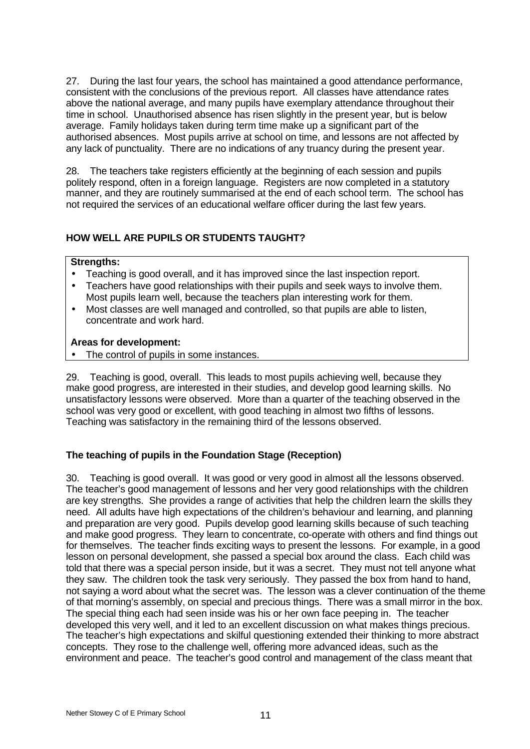27. During the last four years, the school has maintained a good attendance performance, consistent with the conclusions of the previous report. All classes have attendance rates above the national average, and many pupils have exemplary attendance throughout their time in school. Unauthorised absence has risen slightly in the present year, but is below average. Family holidays taken during term time make up a significant part of the authorised absences. Most pupils arrive at school on time, and lessons are not affected by any lack of punctuality. There are no indications of any truancy during the present year.

28. The teachers take registers efficiently at the beginning of each session and pupils politely respond, often in a foreign language. Registers are now completed in a statutory manner, and they are routinely summarised at the end of each school term. The school has not required the services of an educational welfare officer during the last few years.

# **HOW WELL ARE PUPILS OR STUDENTS TAUGHT?**

# **Strengths:**

- Teaching is good overall, and it has improved since the last inspection report.
- Teachers have good relationships with their pupils and seek ways to involve them. Most pupils learn well, because the teachers plan interesting work for them.
- Most classes are well managed and controlled, so that pupils are able to listen, concentrate and work hard.

# **Areas for development:**

The control of pupils in some instances.

29. Teaching is good, overall. This leads to most pupils achieving well, because they make good progress, are interested in their studies, and develop good learning skills. No unsatisfactory lessons were observed. More than a quarter of the teaching observed in the school was very good or excellent, with good teaching in almost two fifths of lessons. Teaching was satisfactory in the remaining third of the lessons observed.

# **The teaching of pupils in the Foundation Stage (Reception)**

30. Teaching is good overall. It was good or very good in almost all the lessons observed. The teacher's good management of lessons and her very good relationships with the children are key strengths. She provides a range of activities that help the children learn the skills they need. All adults have high expectations of the children's behaviour and learning, and planning and preparation are very good. Pupils develop good learning skills because of such teaching and make good progress. They learn to concentrate, co-operate with others and find things out for themselves. The teacher finds exciting ways to present the lessons. For example, in a good lesson on personal development, she passed a special box around the class. Each child was told that there was a special person inside, but it was a secret. They must not tell anyone what they saw. The children took the task very seriously. They passed the box from hand to hand, not saying a word about what the secret was. The lesson was a clever continuation of the theme of that morning's assembly, on special and precious things. There was a small mirror in the box. The special thing each had seen inside was his or her own face peeping in. The teacher developed this very well, and it led to an excellent discussion on what makes things precious. The teacher's high expectations and skilful questioning extended their thinking to more abstract concepts. They rose to the challenge well, offering more advanced ideas, such as the environment and peace. The teacher's good control and management of the class meant that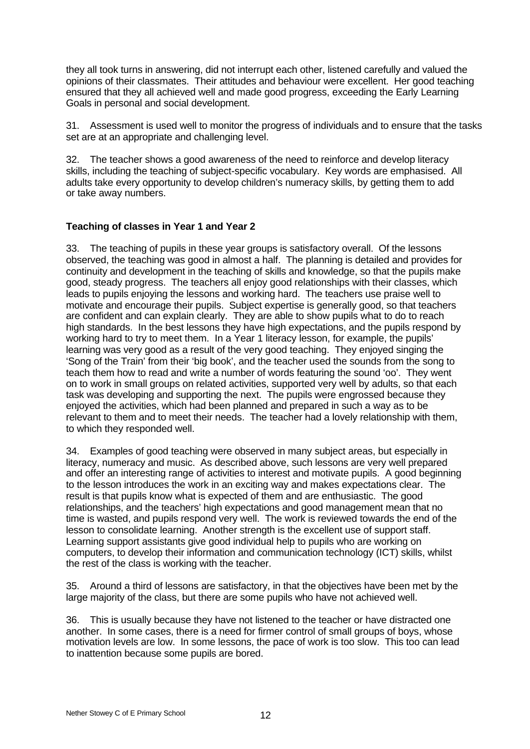they all took turns in answering, did not interrupt each other, listened carefully and valued the opinions of their classmates. Their attitudes and behaviour were excellent. Her good teaching ensured that they all achieved well and made good progress, exceeding the Early Learning Goals in personal and social development.

31. Assessment is used well to monitor the progress of individuals and to ensure that the tasks set are at an appropriate and challenging level.

32. The teacher shows a good awareness of the need to reinforce and develop literacy skills, including the teaching of subject-specific vocabulary. Key words are emphasised. All adults take every opportunity to develop children's numeracy skills, by getting them to add or take away numbers.

# **Teaching of classes in Year 1 and Year 2**

33. The teaching of pupils in these year groups is satisfactory overall. Of the lessons observed, the teaching was good in almost a half. The planning is detailed and provides for continuity and development in the teaching of skills and knowledge, so that the pupils make good, steady progress. The teachers all enjoy good relationships with their classes, which leads to pupils enjoying the lessons and working hard. The teachers use praise well to motivate and encourage their pupils. Subject expertise is generally good, so that teachers are confident and can explain clearly. They are able to show pupils what to do to reach high standards. In the best lessons they have high expectations, and the pupils respond by working hard to try to meet them. In a Year 1 literacy lesson, for example, the pupils' learning was very good as a result of the very good teaching. They enjoyed singing the 'Song of the Train' from their 'big book', and the teacher used the sounds from the song to teach them how to read and write a number of words featuring the sound 'oo'. They went on to work in small groups on related activities, supported very well by adults, so that each task was developing and supporting the next. The pupils were engrossed because they enjoyed the activities, which had been planned and prepared in such a way as to be relevant to them and to meet their needs. The teacher had a lovely relationship with them, to which they responded well.

34. Examples of good teaching were observed in many subject areas, but especially in literacy, numeracy and music. As described above, such lessons are very well prepared and offer an interesting range of activities to interest and motivate pupils. A good beginning to the lesson introduces the work in an exciting way and makes expectations clear. The result is that pupils know what is expected of them and are enthusiastic. The good relationships, and the teachers' high expectations and good management mean that no time is wasted, and pupils respond very well. The work is reviewed towards the end of the lesson to consolidate learning. Another strength is the excellent use of support staff. Learning support assistants give good individual help to pupils who are working on computers, to develop their information and communication technology (ICT) skills, whilst the rest of the class is working with the teacher.

35. Around a third of lessons are satisfactory, in that the objectives have been met by the large majority of the class, but there are some pupils who have not achieved well.

36. This is usually because they have not listened to the teacher or have distracted one another. In some cases, there is a need for firmer control of small groups of boys, whose motivation levels are low. In some lessons, the pace of work is too slow. This too can lead to inattention because some pupils are bored.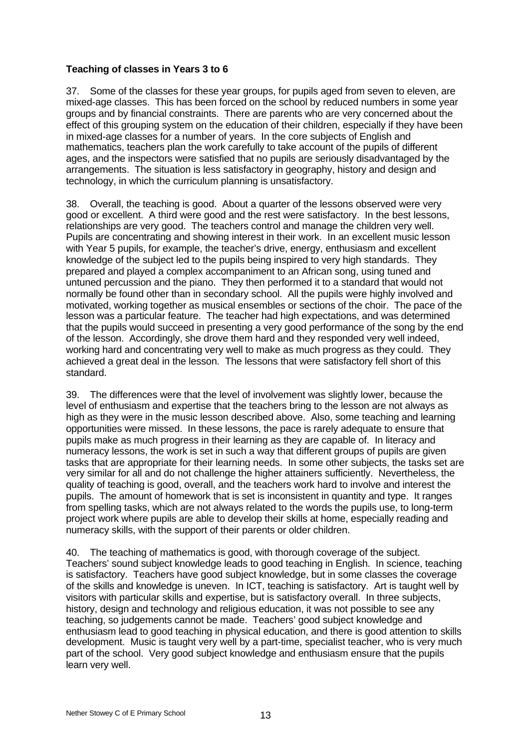# **Teaching of classes in Years 3 to 6**

37. Some of the classes for these year groups, for pupils aged from seven to eleven, are mixed-age classes. This has been forced on the school by reduced numbers in some year groups and by financial constraints. There are parents who are very concerned about the effect of this grouping system on the education of their children, especially if they have been in mixed-age classes for a number of years. In the core subjects of English and mathematics, teachers plan the work carefully to take account of the pupils of different ages, and the inspectors were satisfied that no pupils are seriously disadvantaged by the arrangements. The situation is less satisfactory in geography, history and design and technology, in which the curriculum planning is unsatisfactory.

38. Overall, the teaching is good. About a quarter of the lessons observed were very good or excellent. A third were good and the rest were satisfactory. In the best lessons, relationships are very good. The teachers control and manage the children very well. Pupils are concentrating and showing interest in their work. In an excellent music lesson with Year 5 pupils, for example, the teacher's drive, energy, enthusiasm and excellent knowledge of the subject led to the pupils being inspired to very high standards. They prepared and played a complex accompaniment to an African song, using tuned and untuned percussion and the piano. They then performed it to a standard that would not normally be found other than in secondary school. All the pupils were highly involved and motivated, working together as musical ensembles or sections of the choir. The pace of the lesson was a particular feature. The teacher had high expectations, and was determined that the pupils would succeed in presenting a very good performance of the song by the end of the lesson. Accordingly, she drove them hard and they responded very well indeed, working hard and concentrating very well to make as much progress as they could. They achieved a great deal in the lesson. The lessons that were satisfactory fell short of this standard.

39. The differences were that the level of involvement was slightly lower, because the level of enthusiasm and expertise that the teachers bring to the lesson are not always as high as they were in the music lesson described above. Also, some teaching and learning opportunities were missed. In these lessons, the pace is rarely adequate to ensure that pupils make as much progress in their learning as they are capable of. In literacy and numeracy lessons, the work is set in such a way that different groups of pupils are given tasks that are appropriate for their learning needs. In some other subjects, the tasks set are very similar for all and do not challenge the higher attainers sufficiently. Nevertheless, the quality of teaching is good, overall, and the teachers work hard to involve and interest the pupils. The amount of homework that is set is inconsistent in quantity and type. It ranges from spelling tasks, which are not always related to the words the pupils use, to long-term project work where pupils are able to develop their skills at home, especially reading and numeracy skills, with the support of their parents or older children.

40. The teaching of mathematics is good, with thorough coverage of the subject. Teachers' sound subject knowledge leads to good teaching in English. In science, teaching is satisfactory. Teachers have good subject knowledge, but in some classes the coverage of the skills and knowledge is uneven. In ICT, teaching is satisfactory. Art is taught well by visitors with particular skills and expertise, but is satisfactory overall. In three subjects, history, design and technology and religious education, it was not possible to see any teaching, so judgements cannot be made. Teachers' good subject knowledge and enthusiasm lead to good teaching in physical education, and there is good attention to skills development. Music is taught very well by a part-time, specialist teacher, who is very much part of the school. Very good subject knowledge and enthusiasm ensure that the pupils learn very well.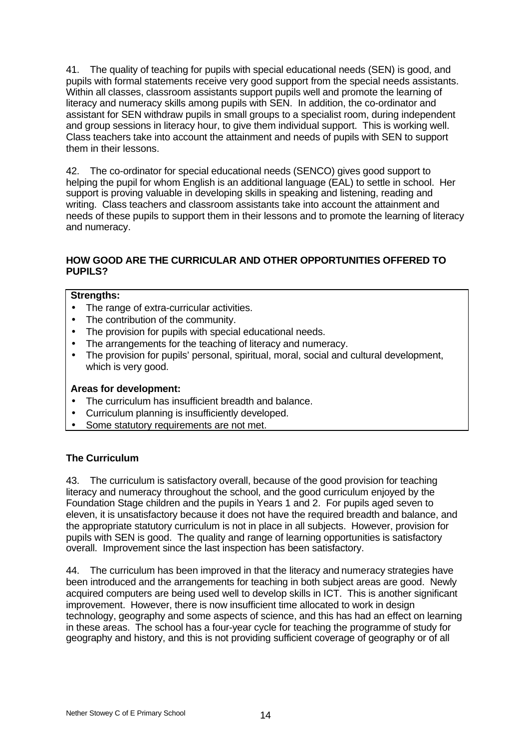41. The quality of teaching for pupils with special educational needs (SEN) is good, and pupils with formal statements receive very good support from the special needs assistants. Within all classes, classroom assistants support pupils well and promote the learning of literacy and numeracy skills among pupils with SEN. In addition, the co-ordinator and assistant for SEN withdraw pupils in small groups to a specialist room, during independent and group sessions in literacy hour, to give them individual support. This is working well. Class teachers take into account the attainment and needs of pupils with SEN to support them in their lessons.

42. The co-ordinator for special educational needs (SENCO) gives good support to helping the pupil for whom English is an additional language (EAL) to settle in school. Her support is proving valuable in developing skills in speaking and listening, reading and writing. Class teachers and classroom assistants take into account the attainment and needs of these pupils to support them in their lessons and to promote the learning of literacy and numeracy.

# **HOW GOOD ARE THE CURRICULAR AND OTHER OPPORTUNITIES OFFERED TO PUPILS?**

# **Strengths:**

- The range of extra-curricular activities.
- The contribution of the community.
- The provision for pupils with special educational needs.
- The arrangements for the teaching of literacy and numeracy.
- The provision for pupils' personal, spiritual, moral, social and cultural development, which is very good.

# **Areas for development:**

- The curriculum has insufficient breadth and balance.
- Curriculum planning is insufficiently developed.
- Some statutory requirements are not met.

# **The Curriculum**

43. The curriculum is satisfactory overall, because of the good provision for teaching literacy and numeracy throughout the school, and the good curriculum enjoyed by the Foundation Stage children and the pupils in Years 1 and 2. For pupils aged seven to eleven, it is unsatisfactory because it does not have the required breadth and balance, and the appropriate statutory curriculum is not in place in all subjects. However, provision for pupils with SEN is good. The quality and range of learning opportunities is satisfactory overall. Improvement since the last inspection has been satisfactory.

44. The curriculum has been improved in that the literacy and numeracy strategies have been introduced and the arrangements for teaching in both subject areas are good. Newly acquired computers are being used well to develop skills in ICT. This is another significant improvement. However, there is now insufficient time allocated to work in design technology, geography and some aspects of science, and this has had an effect on learning in these areas. The school has a four-year cycle for teaching the programme of study for geography and history, and this is not providing sufficient coverage of geography or of all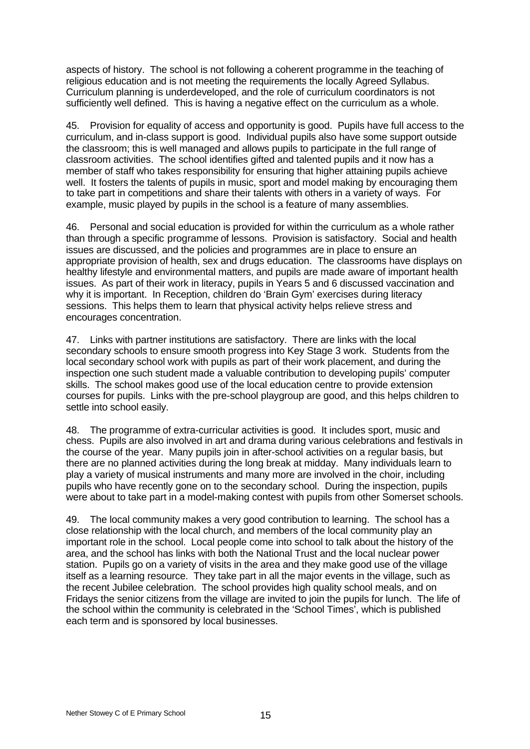aspects of history. The school is not following a coherent programme in the teaching of religious education and is not meeting the requirements the locally Agreed Syllabus. Curriculum planning is underdeveloped, and the role of curriculum coordinators is not sufficiently well defined. This is having a negative effect on the curriculum as a whole.

45. Provision for equality of access and opportunity is good. Pupils have full access to the curriculum, and in-class support is good. Individual pupils also have some support outside the classroom; this is well managed and allows pupils to participate in the full range of classroom activities. The school identifies gifted and talented pupils and it now has a member of staff who takes responsibility for ensuring that higher attaining pupils achieve well. It fosters the talents of pupils in music, sport and model making by encouraging them to take part in competitions and share their talents with others in a variety of ways. For example, music played by pupils in the school is a feature of many assemblies.

46. Personal and social education is provided for within the curriculum as a whole rather than through a specific programme of lessons. Provision is satisfactory. Social and health issues are discussed, and the policies and programmes are in place to ensure an appropriate provision of health, sex and drugs education. The classrooms have displays on healthy lifestyle and environmental matters, and pupils are made aware of important health issues. As part of their work in literacy, pupils in Years 5 and 6 discussed vaccination and why it is important. In Reception, children do 'Brain Gym' exercises during literacy sessions. This helps them to learn that physical activity helps relieve stress and encourages concentration.

47. Links with partner institutions are satisfactory. There are links with the local secondary schools to ensure smooth progress into Key Stage 3 work. Students from the local secondary school work with pupils as part of their work placement, and during the inspection one such student made a valuable contribution to developing pupils' computer skills. The school makes good use of the local education centre to provide extension courses for pupils. Links with the pre-school playgroup are good, and this helps children to settle into school easily.

48. The programme of extra-curricular activities is good. It includes sport, music and chess. Pupils are also involved in art and drama during various celebrations and festivals in the course of the year. Many pupils join in after-school activities on a regular basis, but there are no planned activities during the long break at midday. Many individuals learn to play a variety of musical instruments and many more are involved in the choir, including pupils who have recently gone on to the secondary school. During the inspection, pupils were about to take part in a model-making contest with pupils from other Somerset schools.

49. The local community makes a very good contribution to learning. The school has a close relationship with the local church, and members of the local community play an important role in the school. Local people come into school to talk about the history of the area, and the school has links with both the National Trust and the local nuclear power station. Pupils go on a variety of visits in the area and they make good use of the village itself as a learning resource. They take part in all the major events in the village, such as the recent Jubilee celebration. The school provides high quality school meals, and on Fridays the senior citizens from the village are invited to join the pupils for lunch. The life of the school within the community is celebrated in the 'School Times', which is published each term and is sponsored by local businesses.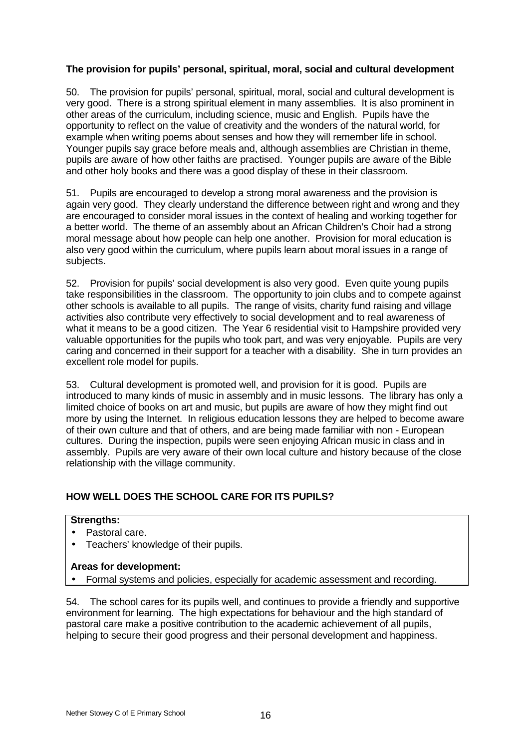# **The provision for pupils' personal, spiritual, moral, social and cultural development**

50. The provision for pupils' personal, spiritual, moral, social and cultural development is very good. There is a strong spiritual element in many assemblies. It is also prominent in other areas of the curriculum, including science, music and English. Pupils have the opportunity to reflect on the value of creativity and the wonders of the natural world, for example when writing poems about senses and how they will remember life in school. Younger pupils say grace before meals and, although assemblies are Christian in theme, pupils are aware of how other faiths are practised. Younger pupils are aware of the Bible and other holy books and there was a good display of these in their classroom.

51. Pupils are encouraged to develop a strong moral awareness and the provision is again very good. They clearly understand the difference between right and wrong and they are encouraged to consider moral issues in the context of healing and working together for a better world. The theme of an assembly about an African Children's Choir had a strong moral message about how people can help one another. Provision for moral education is also very good within the curriculum, where pupils learn about moral issues in a range of subjects.

52. Provision for pupils' social development is also very good. Even quite young pupils take responsibilities in the classroom. The opportunity to join clubs and to compete against other schools is available to all pupils. The range of visits, charity fund raising and village activities also contribute very effectively to social development and to real awareness of what it means to be a good citizen. The Year 6 residential visit to Hampshire provided very valuable opportunities for the pupils who took part, and was very enjoyable. Pupils are very caring and concerned in their support for a teacher with a disability. She in turn provides an excellent role model for pupils.

53. Cultural development is promoted well, and provision for it is good. Pupils are introduced to many kinds of music in assembly and in music lessons. The library has only a limited choice of books on art and music, but pupils are aware of how they might find out more by using the Internet. In religious education lessons they are helped to become aware of their own culture and that of others, and are being made familiar with non - European cultures. During the inspection, pupils were seen enjoying African music in class and in assembly. Pupils are very aware of their own local culture and history because of the close relationship with the village community.

# **HOW WELL DOES THE SCHOOL CARE FOR ITS PUPILS?**

## **Strengths:**

- Pastoral care.
- Teachers' knowledge of their pupils.

# **Areas for development:**

• Formal systems and policies, especially for academic assessment and recording.

54. The school cares for its pupils well, and continues to provide a friendly and supportive environment for learning. The high expectations for behaviour and the high standard of pastoral care make a positive contribution to the academic achievement of all pupils, helping to secure their good progress and their personal development and happiness.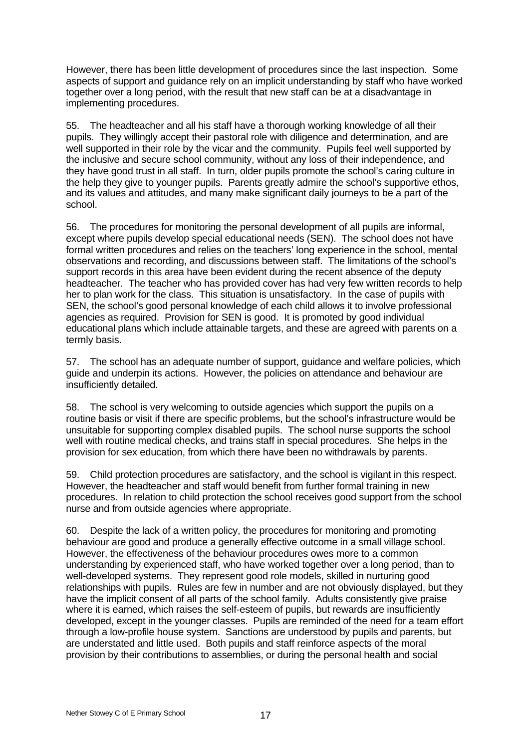However, there has been little development of procedures since the last inspection. Some aspects of support and guidance rely on an implicit understanding by staff who have worked together over a long period, with the result that new staff can be at a disadvantage in implementing procedures.

55. The headteacher and all his staff have a thorough working knowledge of all their pupils. They willingly accept their pastoral role with diligence and determination, and are well supported in their role by the vicar and the community. Pupils feel well supported by the inclusive and secure school community, without any loss of their independence, and they have good trust in all staff. In turn, older pupils promote the school's caring culture in the help they give to younger pupils. Parents greatly admire the school's supportive ethos, and its values and attitudes, and many make significant daily journeys to be a part of the school.

56. The procedures for monitoring the personal development of all pupils are informal, except where pupils develop special educational needs (SEN). The school does not have formal written procedures and relies on the teachers' long experience in the school, mental observations and recording, and discussions between staff. The limitations of the school's support records in this area have been evident during the recent absence of the deputy headteacher. The teacher who has provided cover has had very few written records to help her to plan work for the class. This situation is unsatisfactory. In the case of pupils with SEN, the school's good personal knowledge of each child allows it to involve professional agencies as required. Provision for SEN is good. It is promoted by good individual educational plans which include attainable targets, and these are agreed with parents on a termly basis.

57. The school has an adequate number of support, guidance and welfare policies, which guide and underpin its actions. However, the policies on attendance and behaviour are insufficiently detailed.

58. The school is very welcoming to outside agencies which support the pupils on a routine basis or visit if there are specific problems, but the school's infrastructure would be unsuitable for supporting complex disabled pupils. The school nurse supports the school well with routine medical checks, and trains staff in special procedures. She helps in the provision for sex education, from which there have been no withdrawals by parents.

59. Child protection procedures are satisfactory, and the school is vigilant in this respect. However, the headteacher and staff would benefit from further formal training in new procedures. In relation to child protection the school receives good support from the school nurse and from outside agencies where appropriate.

60. Despite the lack of a written policy, the procedures for monitoring and promoting behaviour are good and produce a generally effective outcome in a small village school. However, the effectiveness of the behaviour procedures owes more to a common understanding by experienced staff, who have worked together over a long period, than to well-developed systems. They represent good role models, skilled in nurturing good relationships with pupils. Rules are few in number and are not obviously displayed, but they have the implicit consent of all parts of the school family. Adults consistently give praise where it is earned, which raises the self-esteem of pupils, but rewards are insufficiently developed, except in the younger classes. Pupils are reminded of the need for a team effort through a low-profile house system. Sanctions are understood by pupils and parents, but are understated and little used. Both pupils and staff reinforce aspects of the moral provision by their contributions to assemblies, or during the personal health and social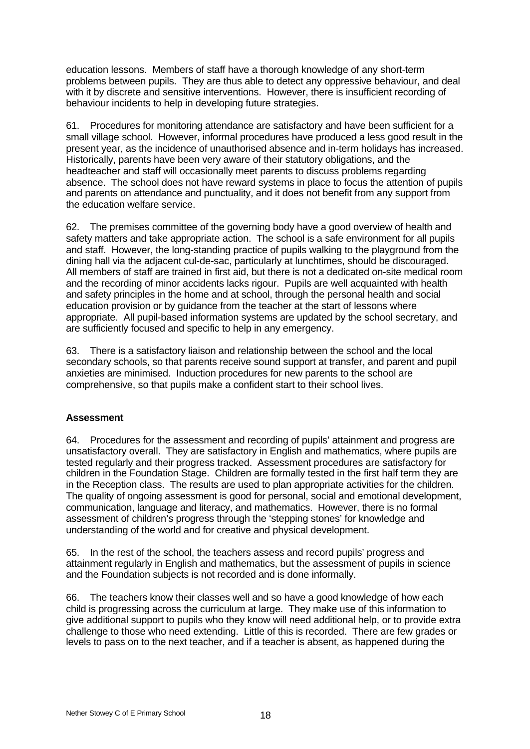education lessons. Members of staff have a thorough knowledge of any short-term problems between pupils. They are thus able to detect any oppressive behaviour, and deal with it by discrete and sensitive interventions. However, there is insufficient recording of behaviour incidents to help in developing future strategies.

61. Procedures for monitoring attendance are satisfactory and have been sufficient for a small village school. However, informal procedures have produced a less good result in the present year, as the incidence of unauthorised absence and in-term holidays has increased. Historically, parents have been very aware of their statutory obligations, and the headteacher and staff will occasionally meet parents to discuss problems regarding absence. The school does not have reward systems in place to focus the attention of pupils and parents on attendance and punctuality, and it does not benefit from any support from the education welfare service.

62. The premises committee of the governing body have a good overview of health and safety matters and take appropriate action. The school is a safe environment for all pupils and staff. However, the long-standing practice of pupils walking to the playground from the dining hall via the adjacent cul-de-sac, particularly at lunchtimes, should be discouraged. All members of staff are trained in first aid, but there is not a dedicated on-site medical room and the recording of minor accidents lacks rigour. Pupils are well acquainted with health and safety principles in the home and at school, through the personal health and social education provision or by guidance from the teacher at the start of lessons where appropriate. All pupil-based information systems are updated by the school secretary, and are sufficiently focused and specific to help in any emergency.

63. There is a satisfactory liaison and relationship between the school and the local secondary schools, so that parents receive sound support at transfer, and parent and pupil anxieties are minimised. Induction procedures for new parents to the school are comprehensive, so that pupils make a confident start to their school lives.

# **Assessment**

64. Procedures for the assessment and recording of pupils' attainment and progress are unsatisfactory overall. They are satisfactory in English and mathematics, where pupils are tested regularly and their progress tracked. Assessment procedures are satisfactory for children in the Foundation Stage. Children are formally tested in the first half term they are in the Reception class. The results are used to plan appropriate activities for the children. The quality of ongoing assessment is good for personal, social and emotional development, communication, language and literacy, and mathematics. However, there is no formal assessment of children's progress through the 'stepping stones' for knowledge and understanding of the world and for creative and physical development.

65. In the rest of the school, the teachers assess and record pupils' progress and attainment regularly in English and mathematics, but the assessment of pupils in science and the Foundation subjects is not recorded and is done informally.

66. The teachers know their classes well and so have a good knowledge of how each child is progressing across the curriculum at large. They make use of this information to give additional support to pupils who they know will need additional help, or to provide extra challenge to those who need extending. Little of this is recorded. There are few grades or levels to pass on to the next teacher, and if a teacher is absent, as happened during the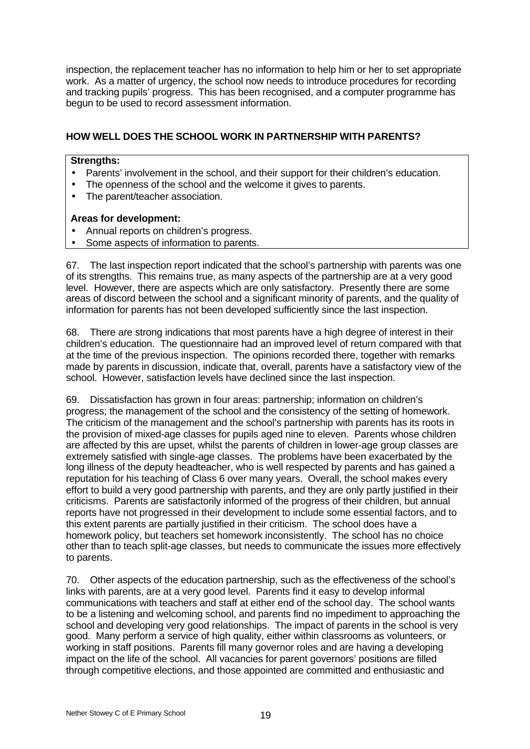inspection, the replacement teacher has no information to help him or her to set appropriate work. As a matter of urgency, the school now needs to introduce procedures for recording and tracking pupils' progress. This has been recognised, and a computer programme has begun to be used to record assessment information.

# **HOW WELL DOES THE SCHOOL WORK IN PARTNERSHIP WITH PARENTS?**

## **Strengths:**

- Parents' involvement in the school, and their support for their children's education.
- The openness of the school and the welcome it gives to parents.
- The parent/teacher association.

# **Areas for development:**

- Annual reports on children's progress.
- Some aspects of information to parents.

67. The last inspection report indicated that the school's partnership with parents was one of its strengths. This remains true, as many aspects of the partnership are at a very good level. However, there are aspects which are only satisfactory. Presently there are some areas of discord between the school and a significant minority of parents, and the quality of information for parents has not been developed sufficiently since the last inspection.

68. There are strong indications that most parents have a high degree of interest in their children's education. The questionnaire had an improved level of return compared with that at the time of the previous inspection. The opinions recorded there, together with remarks made by parents in discussion, indicate that, overall, parents have a satisfactory view of the school. However, satisfaction levels have declined since the last inspection.

69. Dissatisfaction has grown in four areas: partnership; information on children's progress; the management of the school and the consistency of the setting of homework. The criticism of the management and the school's partnership with parents has its roots in the provision of mixed-age classes for pupils aged nine to eleven. Parents whose children are affected by this are upset, whilst the parents of children in lower-age group classes are extremely satisfied with single-age classes. The problems have been exacerbated by the long illness of the deputy headteacher, who is well respected by parents and has gained a reputation for his teaching of Class 6 over many years. Overall, the school makes every effort to build a very good partnership with parents, and they are only partly justified in their criticisms. Parents are satisfactorily informed of the progress of their children, but annual reports have not progressed in their development to include some essential factors, and to this extent parents are partially justified in their criticism. The school does have a homework policy, but teachers set homework inconsistently. The school has no choice other than to teach split-age classes, but needs to communicate the issues more effectively to parents.

70. Other aspects of the education partnership, such as the effectiveness of the school's links with parents, are at a very good level. Parents find it easy to develop informal communications with teachers and staff at either end of the school day. The school wants to be a listening and welcoming school, and parents find no impediment to approaching the school and developing very good relationships. The impact of parents in the school is very good. Many perform a service of high quality, either within classrooms as volunteers, or working in staff positions. Parents fill many governor roles and are having a developing impact on the life of the school. All vacancies for parent governors' positions are filled through competitive elections, and those appointed are committed and enthusiastic and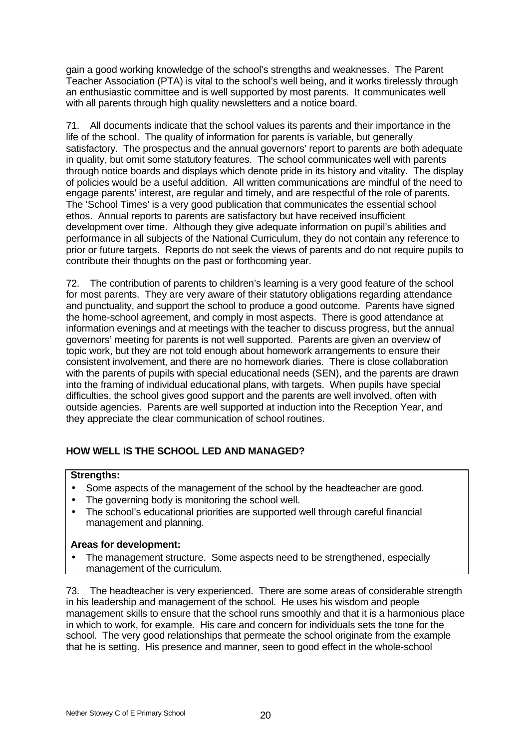gain a good working knowledge of the school's strengths and weaknesses. The Parent Teacher Association (PTA) is vital to the school's well being, and it works tirelessly through an enthusiastic committee and is well supported by most parents. It communicates well with all parents through high quality newsletters and a notice board.

71. All documents indicate that the school values its parents and their importance in the life of the school. The quality of information for parents is variable, but generally satisfactory. The prospectus and the annual governors' report to parents are both adequate in quality, but omit some statutory features. The school communicates well with parents through notice boards and displays which denote pride in its history and vitality. The display of policies would be a useful addition. All written communications are mindful of the need to engage parents' interest, are regular and timely, and are respectful of the role of parents. The 'School Times' is a very good publication that communicates the essential school ethos. Annual reports to parents are satisfactory but have received insufficient development over time. Although they give adequate information on pupil's abilities and performance in all subjects of the National Curriculum, they do not contain any reference to prior or future targets. Reports do not seek the views of parents and do not require pupils to contribute their thoughts on the past or forthcoming year.

72. The contribution of parents to children's learning is a very good feature of the school for most parents. They are very aware of their statutory obligations regarding attendance and punctuality, and support the school to produce a good outcome. Parents have signed the home-school agreement, and comply in most aspects. There is good attendance at information evenings and at meetings with the teacher to discuss progress, but the annual governors' meeting for parents is not well supported. Parents are given an overview of topic work, but they are not told enough about homework arrangements to ensure their consistent involvement, and there are no homework diaries. There is close collaboration with the parents of pupils with special educational needs (SEN), and the parents are drawn into the framing of individual educational plans, with targets. When pupils have special difficulties, the school gives good support and the parents are well involved, often with outside agencies. Parents are well supported at induction into the Reception Year, and they appreciate the clear communication of school routines.

# **HOW WELL IS THE SCHOOL LED AND MANAGED?**

# **Strengths:**

- Some aspects of the management of the school by the headteacher are good.
- The governing body is monitoring the school well.
- The school's educational priorities are supported well through careful financial management and planning.

# **Areas for development:**

The management structure. Some aspects need to be strengthened, especially management of the curriculum.

73. The headteacher is very experienced. There are some areas of considerable strength in his leadership and management of the school. He uses his wisdom and people management skills to ensure that the school runs smoothly and that it is a harmonious place in which to work, for example. His care and concern for individuals sets the tone for the school. The very good relationships that permeate the school originate from the example that he is setting. His presence and manner, seen to good effect in the whole-school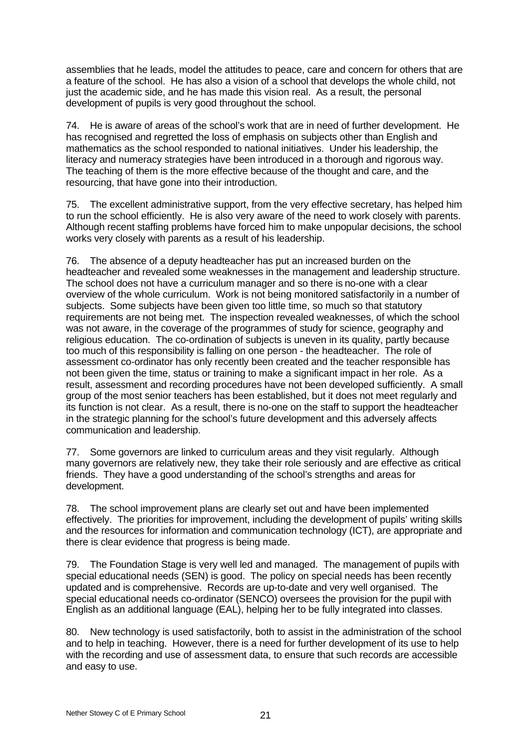assemblies that he leads, model the attitudes to peace, care and concern for others that are a feature of the school. He has also a vision of a school that develops the whole child, not just the academic side, and he has made this vision real. As a result, the personal development of pupils is very good throughout the school.

74. He is aware of areas of the school's work that are in need of further development. He has recognised and regretted the loss of emphasis on subjects other than English and mathematics as the school responded to national initiatives. Under his leadership, the literacy and numeracy strategies have been introduced in a thorough and rigorous way. The teaching of them is the more effective because of the thought and care, and the resourcing, that have gone into their introduction.

75. The excellent administrative support, from the very effective secretary, has helped him to run the school efficiently. He is also very aware of the need to work closely with parents. Although recent staffing problems have forced him to make unpopular decisions, the school works very closely with parents as a result of his leadership.

76. The absence of a deputy headteacher has put an increased burden on the headteacher and revealed some weaknesses in the management and leadership structure. The school does not have a curriculum manager and so there is no-one with a clear overview of the whole curriculum. Work is not being monitored satisfactorily in a number of subjects. Some subjects have been given too little time, so much so that statutory requirements are not being met. The inspection revealed weaknesses, of which the school was not aware, in the coverage of the programmes of study for science, geography and religious education. The co-ordination of subjects is uneven in its quality, partly because too much of this responsibility is falling on one person - the headteacher. The role of assessment co-ordinator has only recently been created and the teacher responsible has not been given the time, status or training to make a significant impact in her role. As a result, assessment and recording procedures have not been developed sufficiently. A small group of the most senior teachers has been established, but it does not meet regularly and its function is not clear. As a result, there is no-one on the staff to support the headteacher in the strategic planning for the school's future development and this adversely affects communication and leadership.

77. Some governors are linked to curriculum areas and they visit regularly. Although many governors are relatively new, they take their role seriously and are effective as critical friends. They have a good understanding of the school's strengths and areas for development.

78. The school improvement plans are clearly set out and have been implemented effectively. The priorities for improvement, including the development of pupils' writing skills and the resources for information and communication technology (ICT), are appropriate and there is clear evidence that progress is being made.

79. The Foundation Stage is very well led and managed. The management of pupils with special educational needs (SEN) is good. The policy on special needs has been recently updated and is comprehensive. Records are up-to-date and very well organised. The special educational needs co-ordinator (SENCO) oversees the provision for the pupil with English as an additional language (EAL), helping her to be fully integrated into classes.

80. New technology is used satisfactorily, both to assist in the administration of the school and to help in teaching. However, there is a need for further development of its use to help with the recording and use of assessment data, to ensure that such records are accessible and easy to use.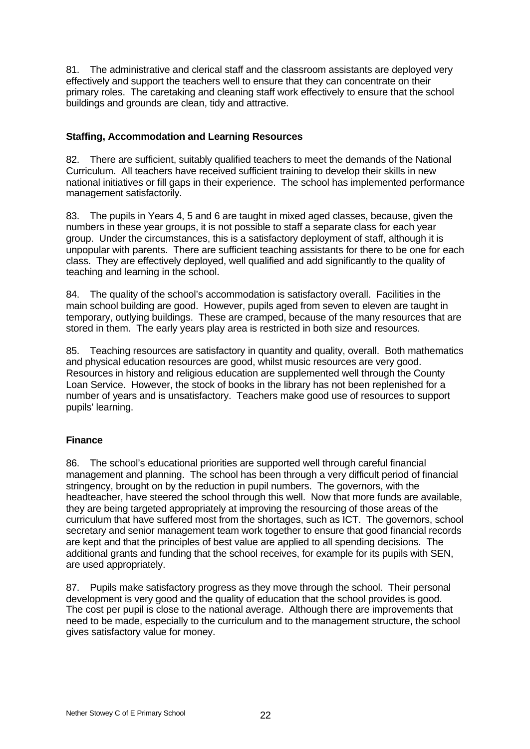81. The administrative and clerical staff and the classroom assistants are deployed very effectively and support the teachers well to ensure that they can concentrate on their primary roles. The caretaking and cleaning staff work effectively to ensure that the school buildings and grounds are clean, tidy and attractive.

# **Staffing, Accommodation and Learning Resources**

82. There are sufficient, suitably qualified teachers to meet the demands of the National Curriculum. All teachers have received sufficient training to develop their skills in new national initiatives or fill gaps in their experience. The school has implemented performance management satisfactorily.

83. The pupils in Years 4, 5 and 6 are taught in mixed aged classes, because, given the numbers in these year groups, it is not possible to staff a separate class for each year group. Under the circumstances, this is a satisfactory deployment of staff, although it is unpopular with parents. There are sufficient teaching assistants for there to be one for each class. They are effectively deployed, well qualified and add significantly to the quality of teaching and learning in the school.

84. The quality of the school's accommodation is satisfactory overall. Facilities in the main school building are good. However, pupils aged from seven to eleven are taught in temporary, outlying buildings. These are cramped, because of the many resources that are stored in them. The early years play area is restricted in both size and resources.

85. Teaching resources are satisfactory in quantity and quality, overall. Both mathematics and physical education resources are good, whilst music resources are very good. Resources in history and religious education are supplemented well through the County Loan Service. However, the stock of books in the library has not been replenished for a number of years and is unsatisfactory. Teachers make good use of resources to support pupils' learning.

# **Finance**

86. The school's educational priorities are supported well through careful financial management and planning. The school has been through a very difficult period of financial stringency, brought on by the reduction in pupil numbers. The governors, with the headteacher, have steered the school through this well. Now that more funds are available, they are being targeted appropriately at improving the resourcing of those areas of the curriculum that have suffered most from the shortages, such as ICT. The governors, school secretary and senior management team work together to ensure that good financial records are kept and that the principles of best value are applied to all spending decisions. The additional grants and funding that the school receives, for example for its pupils with SEN, are used appropriately.

87. Pupils make satisfactory progress as they move through the school. Their personal development is very good and the quality of education that the school provides is good. The cost per pupil is close to the national average. Although there are improvements that need to be made, especially to the curriculum and to the management structure, the school gives satisfactory value for money.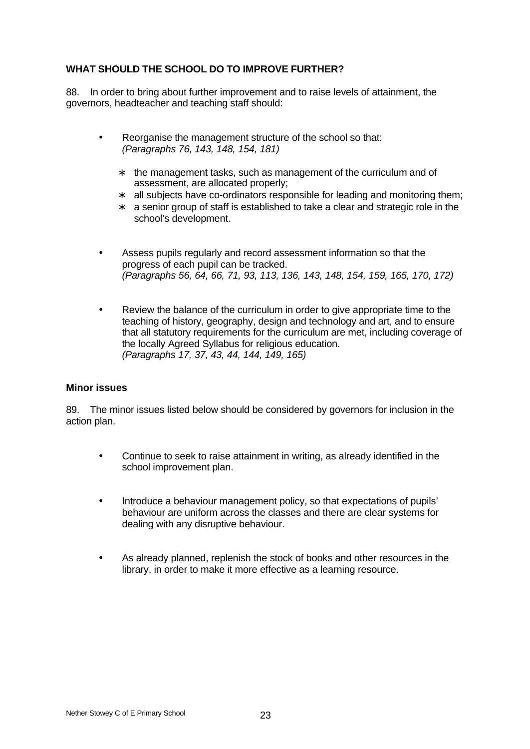# **WHAT SHOULD THE SCHOOL DO TO IMPROVE FURTHER?**

88. In order to bring about further improvement and to raise levels of attainment, the governors, headteacher and teaching staff should:

- Reorganise the management structure of the school so that: *(Paragraphs 76, 143, 148, 154, 181)*
	- ∗ the management tasks, such as management of the curriculum and of assessment, are allocated properly;
	- ∗ all subjects have co-ordinators responsible for leading and monitoring them;
	- ∗ a senior group of staff is established to take a clear and strategic role in the school's development.
- Assess pupils regularly and record assessment information so that the progress of each pupil can be tracked. *(Paragraphs 56, 64, 66, 71, 93, 113, 136, 143, 148, 154, 159, 165, 170, 172)*
- Review the balance of the curriculum in order to give appropriate time to the teaching of history, geography, design and technology and art, and to ensure that all statutory requirements for the curriculum are met, including coverage of the locally Agreed Syllabus for religious education. *(Paragraphs 17, 37, 43, 44, 144, 149, 165)*

# **Minor issues**

89. The minor issues listed below should be considered by governors for inclusion in the action plan.

- Continue to seek to raise attainment in writing, as already identified in the school improvement plan.
- Introduce a behaviour management policy, so that expectations of pupils' behaviour are uniform across the classes and there are clear systems for dealing with any disruptive behaviour.
- As already planned, replenish the stock of books and other resources in the library, in order to make it more effective as a learning resource.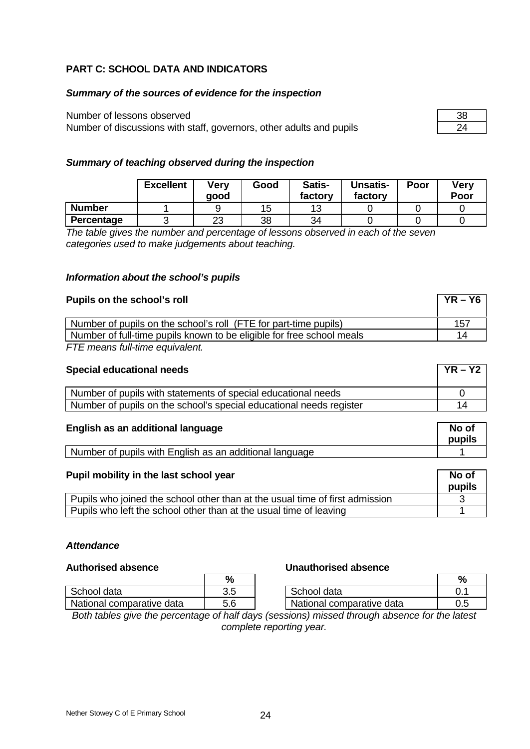# **PART C: SCHOOL DATA AND INDICATORS**

## *Summary of the sources of evidence for the inspection*

# Number of lessons observed

Number of discussions with staff, governors, other adults and pupils

| Ξ | ש       |
|---|---------|
|   | v<br>щ. |

# *Summary of teaching observed during the inspection*

|               | <b>Excellent</b> | Verv<br>qood | Good | Satis-<br>factory | <b>Unsatis-</b><br>factory | Poor | Verv<br>Poor |
|---------------|------------------|--------------|------|-------------------|----------------------------|------|--------------|
| <b>Number</b> |                  |              | 15   |                   |                            |      |              |
| Percentage    |                  | າາ<br>دے     | 38   | 34                |                            |      |              |

*The table gives the number and percentage of lessons observed in each of the seven categories used to make judgements about teaching.*

## *Information about the school's pupils*

| Pupils on the school's roll                                           | $YR - Y6$ |
|-----------------------------------------------------------------------|-----------|
| Number of pupils on the school's roll (FTE for part-time pupils)      | 157       |
| Number of full-time pupils known to be eligible for free school meals | 14        |

*FTE means full-time equivalent.*

| <b>Special educational needs</b>                                    | $YR - Y2$ |
|---------------------------------------------------------------------|-----------|
| Number of pupils with statements of special educational needs       |           |
| Number of pupils on the school's special educational needs register | 14        |

# **English as an additional language No of**

School data 1 3.5 National comparative data 15.6

|                                                           | .<br>pupils |
|-----------------------------------------------------------|-------------|
| I Number of pupils with English as an additional language |             |

| Pupil mobility in the last school year                                       | No of<br>pupils |
|------------------------------------------------------------------------------|-----------------|
| Pupils who joined the school other than at the usual time of first admission |                 |
| Pupils who left the school other than at the usual time of leaving           |                 |

## *Attendance*

### **Authorised absence Unauthorised absence**

| ℀   |                           |  |
|-----|---------------------------|--|
| 3.5 | School data               |  |
|     | National comparative data |  |
|     |                           |  |

*Both tables give the percentage of half days (sessions) missed through absence for the latest complete reporting year.*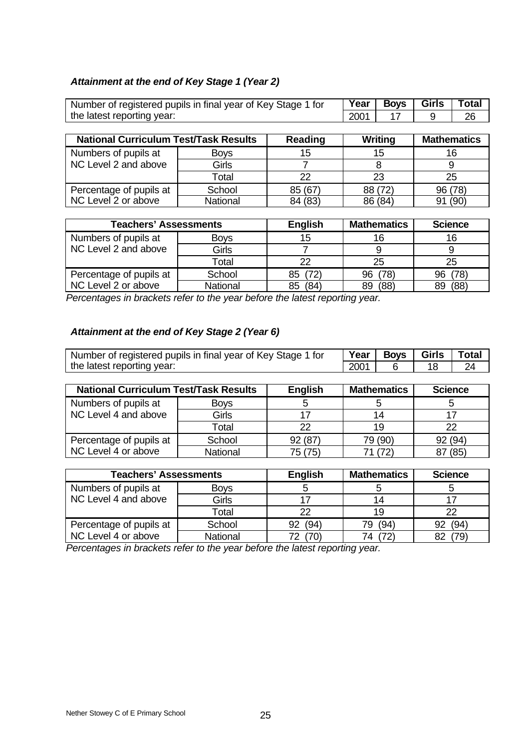# *Attainment at the end of Key Stage 1 (Year 2)*

| Number of registered pupils in final year of Key Stage 1 for | Year        | <b>Boys</b> | Girls | <b>Total</b> |         |                    |  |
|--------------------------------------------------------------|-------------|-------------|-------|--------------|---------|--------------------|--|
| the latest reporting year:                                   | 2001        | 17          |       | 26           |         |                    |  |
|                                                              |             |             |       |              |         |                    |  |
| <b>National Curriculum Test/Task Results</b>                 |             | Reading     |       | Writing      |         | <b>Mathematics</b> |  |
| Numbers of pupils at                                         | <b>Boys</b> | 15          |       | 15           |         | 16                 |  |
| NC Level 2 and above                                         | Girls       |             |       |              |         |                    |  |
|                                                              | Total       | 22          |       | 23           |         | 25                 |  |
| Percentage of pupils at                                      | School      | 85 (67)     |       | 88 (72)      | 96 (78) |                    |  |
| NC Level 2 or above                                          | National    | 84 (83)     |       | 86 (84)      | 91      | (90)               |  |

| <b>Teachers' Assessments</b> |             | <b>English</b> | <b>Mathematics</b> | <b>Science</b> |
|------------------------------|-------------|----------------|--------------------|----------------|
| Numbers of pupils at         | <b>Boys</b> | 15             | 16                 | 16             |
| NC Level 2 and above         | Girls       |                |                    |                |
|                              | Total       | 22             | 25                 | 25             |
| Percentage of pupils at      | School      | (72)<br>85     | 96 (78)            | 78)<br>96      |
| NC Level 2 or above          | National    | (84)<br>85     | (88)<br>89         | (88)<br>89     |

*Percentages in brackets refer to the year before the latest reporting year.*

# *Attainment at the end of Key Stage 2 (Year 6)*

| Number of registered pupils in final year of Key Stage 1 for | Year | Boys Girls | l Total |
|--------------------------------------------------------------|------|------------|---------|
| the latest reporting year:                                   | 2001 |            |         |

| <b>National Curriculum Test/Task Results</b> |                 | <b>English</b> | <b>Mathematics</b> | <b>Science</b> |
|----------------------------------------------|-----------------|----------------|--------------------|----------------|
| Numbers of pupils at                         | <b>Boys</b>     |                |                    |                |
| NC Level 4 and above                         | Girls           |                | 14                 |                |
|                                              | Total           | 22             | 19                 | つつ             |
| Percentage of pupils at                      | School          | 92 (87)        | 79 (90)            | 92 (94)        |
| NC Level 4 or above                          | <b>National</b> | 75 (75)        | 71 (72)            | 87 (85)        |

| <b>Teachers' Assessments</b> |             | <b>English</b> | <b>Mathematics</b> | <b>Science</b> |
|------------------------------|-------------|----------------|--------------------|----------------|
| Numbers of pupils at         | <b>Boys</b> |                |                    |                |
| NC Level 4 and above         | Girls       |                |                    |                |
|                              | Total       | 22             | 19                 | 22             |
| Percentage of pupils at      | School      | (94)<br>92     | (94)<br>79.        | (94<br>92      |
| NC Level 4 or above          | National    |                | (72)<br>ד⊿ −       | 79)            |

*Percentages in brackets refer to the year before the latest reporting year.*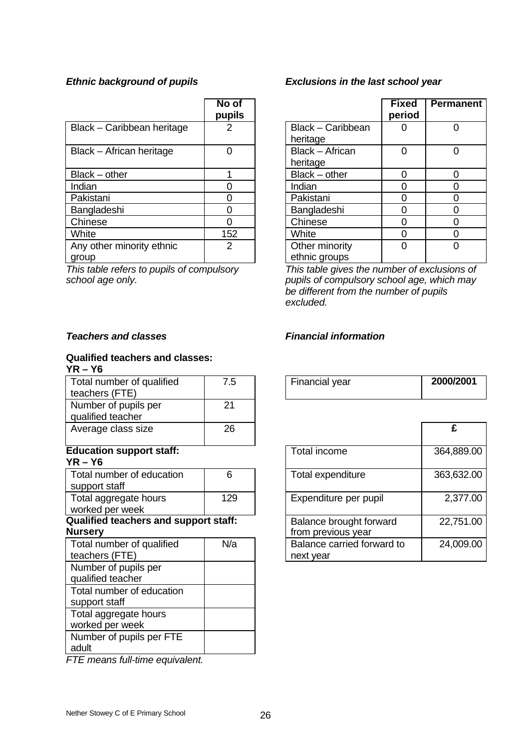|                                    | No of<br>pupils |                                 | <b>Fixed</b><br>period | <b>Perma</b>   |
|------------------------------------|-----------------|---------------------------------|------------------------|----------------|
| Black - Caribbean heritage         |                 | Black - Caribbean<br>heritage   |                        | $\overline{0}$ |
| Black - African heritage           |                 | Black - African<br>heritage     | $\Omega$               | 0              |
| Black - other                      |                 | $Black - other$                 | $\Omega$               | 0              |
| Indian                             |                 | Indian                          |                        | $\mathbf 0$    |
| Pakistani                          |                 | Pakistani                       | ი                      | 0              |
| Bangladeshi                        |                 | Bangladeshi                     | 0                      | 0              |
| Chinese                            |                 | Chinese                         | ∩                      | $\mathbf 0$    |
| White                              | 152             | White                           |                        | 0              |
| Any other minority ethnic<br>group | 2               | Other minority<br>ethnic groups | $\Omega$               | 0              |

*This table refers to pupils of compulsory school age only.*

### **Qualified teachers and classes: YR – Y6**

| Total number of qualified<br>teachers (FTE)                    | 7.5 | Financial year                                | 2000/ |
|----------------------------------------------------------------|-----|-----------------------------------------------|-------|
| Number of pupils per<br>qualified teacher                      | 21  |                                               |       |
| Average class size                                             | 26  |                                               | £     |
| <b>Education support staff:</b><br>$YR - Y6$                   |     | Total income                                  | 364,8 |
| Total number of education<br>support staff                     | 6   | Total expenditure                             | 363,6 |
| Total aggregate hours<br>worked per week                       | 129 | Expenditure per pupil                         | 2,3   |
| <b>Qualified teachers and support staff:</b><br><b>Nursery</b> |     | Balance brought forward<br>from previous year | 22,7  |
| Total number of qualified<br>teachers (FTE)                    | N/a | Balance carried forward to<br>next year       | 24,0  |
| Number of pupils per<br>qualified teacher                      |     |                                               |       |
| Total number of education<br>support staff                     |     |                                               |       |
| Total aggregate hours<br>worked per week                       |     |                                               |       |
| Number of pupils per FTE<br>adult                              |     |                                               |       |

*FTE means full-time equivalent.*

# *Ethnic background of pupils Exclusions in the last school year*

| o of<br>pils   |                                 | <b>Fixed</b><br>period | <b>Permanent</b> |
|----------------|---------------------------------|------------------------|------------------|
| $\overline{2}$ | Black - Caribbean<br>heritage   |                        |                  |
| 0              | Black - African<br>heritage     | O                      |                  |
| 1              | Black - other                   | Ω                      |                  |
|                | Indian                          | Ω                      |                  |
|                | Pakistani                       |                        |                  |
| $\frac{0}{0}$  | Bangladeshi                     |                        |                  |
|                | Chinese                         | Ω                      |                  |
| $\frac{0}{52}$ | White                           | ი                      |                  |
|                | Other minority<br>ethnic groups |                        |                  |

*This table gives the number of exclusions of pupils of compulsory school age, which may be different from the number of pupils excluded.*

# *Teachers and classes Financial information*

| 7.5 | <b>Financial year</b> | 2000/2001 |
|-----|-----------------------|-----------|
|     |                       |           |

| 26   |                                               |            |
|------|-----------------------------------------------|------------|
|      | Total income                                  | 364,889.00 |
| 6    | Total expenditure                             | 363,632.00 |
| 129  | Expenditure per pupil                         | 2,377.00   |
| aff: | Balance brought forward<br>from previous year | 22,751.00  |
| N/a  | Balance carried forward to<br>next year       | 24,009.00  |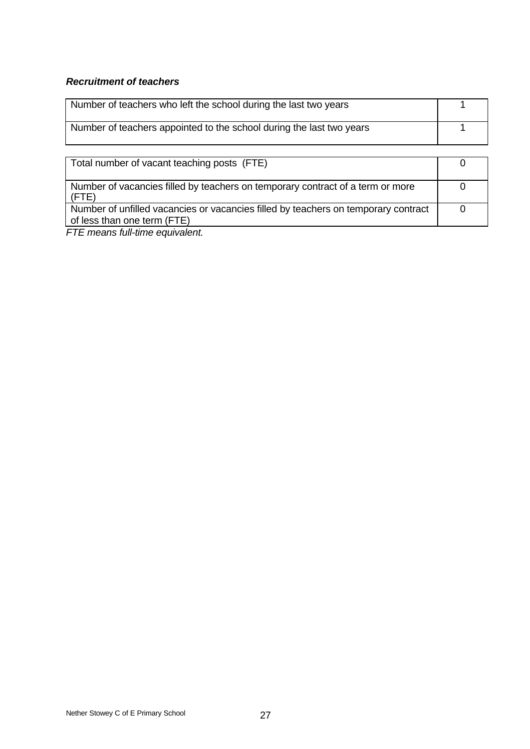# *Recruitment of teachers*

| Number of teachers who left the school during the last two years     |  |
|----------------------------------------------------------------------|--|
| Number of teachers appointed to the school during the last two years |  |

| Total number of vacant teaching posts (FTE)                                                                       |  |
|-------------------------------------------------------------------------------------------------------------------|--|
| Number of vacancies filled by teachers on temporary contract of a term or more<br>(FTE)                           |  |
| Number of unfilled vacancies or vacancies filled by teachers on temporary contract<br>of less than one term (FTE) |  |

*FTE means full-time equivalent.*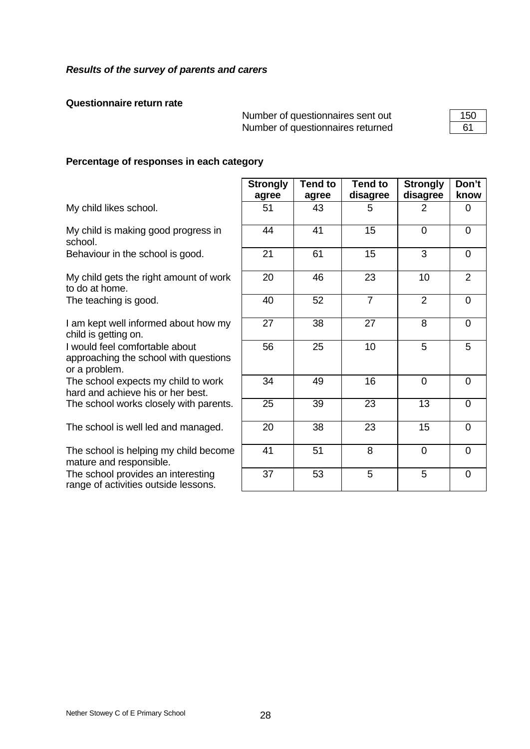## **Questionnaire return rate**

Number of questionnaires sent out Number of questionnaires returned

# **Percentage of responses in each category**

|  | My child likes school. |
|--|------------------------|
|  |                        |

range of activities outside lessons.

|                                                                                          | <b>Strongly</b><br>agree | <b>Tend to</b><br>agree | <b>Tend to</b><br>disagree | <b>Strongly</b><br>disagree | Don't<br>know  |
|------------------------------------------------------------------------------------------|--------------------------|-------------------------|----------------------------|-----------------------------|----------------|
| My child likes school.                                                                   | 51                       | 43                      | 5                          | 2                           | $\Omega$       |
| My child is making good progress in<br>school.                                           | 44                       | 41                      | $\overline{15}$            | $\Omega$                    | $\overline{0}$ |
| Behaviour in the school is good.                                                         | 21                       | 61                      | 15                         | 3                           | $\Omega$       |
| My child gets the right amount of work<br>to do at home.                                 | 20                       | 46                      | 23                         | 10                          | $\overline{2}$ |
| The teaching is good.                                                                    | 40                       | 52                      | $\overline{7}$             | $\overline{2}$              | $\Omega$       |
| I am kept well informed about how my<br>child is getting on.                             | 27                       | 38                      | $\overline{27}$            | $\overline{8}$              | $\Omega$       |
| I would feel comfortable about<br>approaching the school with questions<br>or a problem. | 56                       | 25                      | 10                         | 5                           | 5              |
| The school expects my child to work<br>hard and achieve his or her best.                 | 34                       | 49                      | 16                         | $\overline{0}$              | $\Omega$       |
| The school works closely with parents.                                                   | 25                       | 39                      | 23                         | 13                          | $\Omega$       |
| The school is well led and managed.                                                      | 20                       | 38                      | 23                         | 15                          | $\Omega$       |
| The school is helping my child become<br>mature and responsible.                         | 41                       | 51                      | 8                          | $\overline{0}$              | $\Omega$       |
| The school provides an interesting<br>range of activities outside lessons.               | 37                       | 53                      | 5                          | 5                           | $\Omega$       |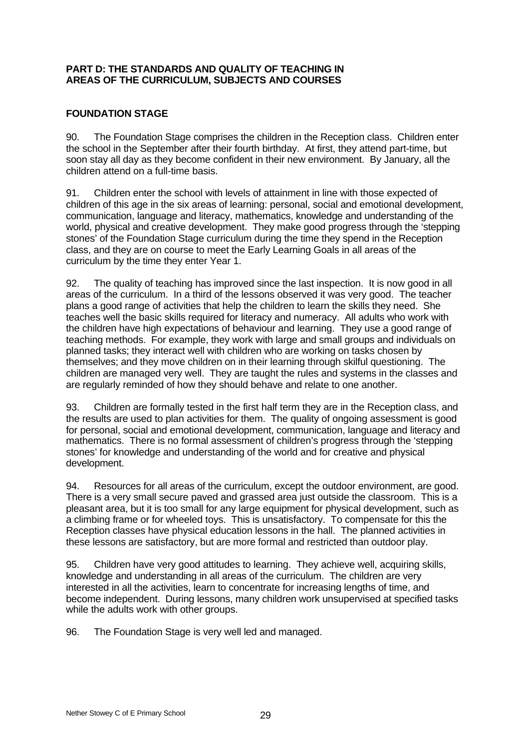# **PART D: THE STANDARDS AND QUALITY OF TEACHING IN AREAS OF THE CURRICULUM, SUBJECTS AND COURSES**

# **FOUNDATION STAGE**

90. The Foundation Stage comprises the children in the Reception class. Children enter the school in the September after their fourth birthday. At first, they attend part-time, but soon stay all day as they become confident in their new environment. By January, all the children attend on a full-time basis.

91. Children enter the school with levels of attainment in line with those expected of children of this age in the six areas of learning: personal, social and emotional development, communication, language and literacy, mathematics, knowledge and understanding of the world, physical and creative development. They make good progress through the 'stepping stones' of the Foundation Stage curriculum during the time they spend in the Reception class, and they are on course to meet the Early Learning Goals in all areas of the curriculum by the time they enter Year 1.

92. The quality of teaching has improved since the last inspection. It is now good in all areas of the curriculum. In a third of the lessons observed it was very good. The teacher plans a good range of activities that help the children to learn the skills they need. She teaches well the basic skills required for literacy and numeracy. All adults who work with the children have high expectations of behaviour and learning. They use a good range of teaching methods. For example, they work with large and small groups and individuals on planned tasks; they interact well with children who are working on tasks chosen by themselves; and they move children on in their learning through skilful questioning. The children are managed very well. They are taught the rules and systems in the classes and are regularly reminded of how they should behave and relate to one another.

93. Children are formally tested in the first half term they are in the Reception class, and the results are used to plan activities for them. The quality of ongoing assessment is good for personal, social and emotional development, communication, language and literacy and mathematics. There is no formal assessment of children's progress through the 'stepping stones' for knowledge and understanding of the world and for creative and physical development.

94. Resources for all areas of the curriculum, except the outdoor environment, are good. There is a very small secure paved and grassed area just outside the classroom. This is a pleasant area, but it is too small for any large equipment for physical development, such as a climbing frame or for wheeled toys. This is unsatisfactory. To compensate for this the Reception classes have physical education lessons in the hall. The planned activities in these lessons are satisfactory, but are more formal and restricted than outdoor play.

95. Children have very good attitudes to learning. They achieve well, acquiring skills, knowledge and understanding in all areas of the curriculum. The children are very interested in all the activities, learn to concentrate for increasing lengths of time, and become independent. During lessons, many children work unsupervised at specified tasks while the adults work with other groups.

96. The Foundation Stage is very well led and managed.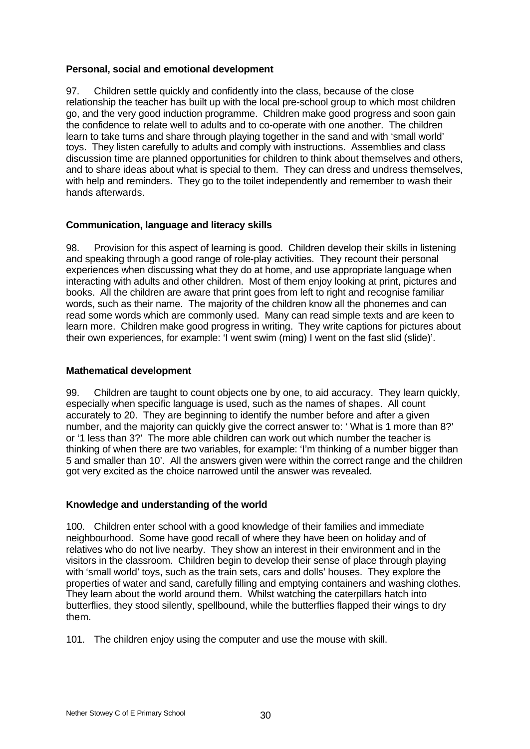# **Personal, social and emotional development**

97. Children settle quickly and confidently into the class, because of the close relationship the teacher has built up with the local pre-school group to which most children go, and the very good induction programme. Children make good progress and soon gain the confidence to relate well to adults and to co-operate with one another. The children learn to take turns and share through playing together in the sand and with 'small world' toys. They listen carefully to adults and comply with instructions. Assemblies and class discussion time are planned opportunities for children to think about themselves and others, and to share ideas about what is special to them. They can dress and undress themselves, with help and reminders. They go to the toilet independently and remember to wash their hands afterwards.

# **Communication, language and literacy skills**

98. Provision for this aspect of learning is good. Children develop their skills in listening and speaking through a good range of role-play activities. They recount their personal experiences when discussing what they do at home, and use appropriate language when interacting with adults and other children. Most of them enjoy looking at print, pictures and books. All the children are aware that print goes from left to right and recognise familiar words, such as their name. The majority of the children know all the phonemes and can read some words which are commonly used. Many can read simple texts and are keen to learn more. Children make good progress in writing. They write captions for pictures about their own experiences, for example: 'I went swim (ming) I went on the fast slid (slide)'.

# **Mathematical development**

99. Children are taught to count objects one by one, to aid accuracy. They learn quickly, especially when specific language is used, such as the names of shapes. All count accurately to 20. They are beginning to identify the number before and after a given number, and the majority can quickly give the correct answer to: ' What is 1 more than 8?' or '1 less than 3?' The more able children can work out which number the teacher is thinking of when there are two variables, for example: 'I'm thinking of a number bigger than 5 and smaller than 10'. All the answers given were within the correct range and the children got very excited as the choice narrowed until the answer was revealed.

# **Knowledge and understanding of the world**

100. Children enter school with a good knowledge of their families and immediate neighbourhood. Some have good recall of where they have been on holiday and of relatives who do not live nearby. They show an interest in their environment and in the visitors in the classroom. Children begin to develop their sense of place through playing with 'small world' toys, such as the train sets, cars and dolls' houses. They explore the properties of water and sand, carefully filling and emptying containers and washing clothes. They learn about the world around them. Whilst watching the caterpillars hatch into butterflies, they stood silently, spellbound, while the butterflies flapped their wings to dry them.

101. The children enjoy using the computer and use the mouse with skill.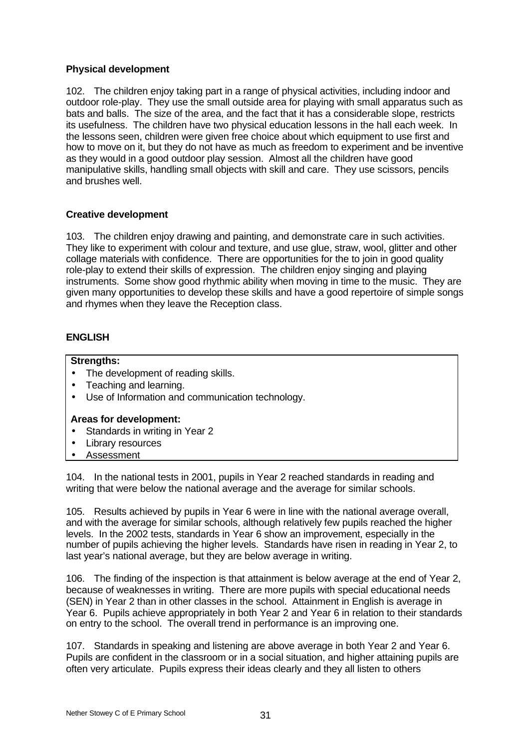# **Physical development**

102. The children enjoy taking part in a range of physical activities, including indoor and outdoor role-play. They use the small outside area for playing with small apparatus such as bats and balls. The size of the area, and the fact that it has a considerable slope, restricts its usefulness. The children have two physical education lessons in the hall each week. In the lessons seen, children were given free choice about which equipment to use first and how to move on it, but they do not have as much as freedom to experiment and be inventive as they would in a good outdoor play session. Almost all the children have good manipulative skills, handling small objects with skill and care. They use scissors, pencils and brushes well.

# **Creative development**

103. The children enjoy drawing and painting, and demonstrate care in such activities. They like to experiment with colour and texture, and use glue, straw, wool, glitter and other collage materials with confidence. There are opportunities for the to join in good quality role-play to extend their skills of expression. The children enjoy singing and playing instruments. Some show good rhythmic ability when moving in time to the music. They are given many opportunities to develop these skills and have a good repertoire of simple songs and rhymes when they leave the Reception class.

# **ENGLISH**

# **Strengths:**

- The development of reading skills.
- Teaching and learning.
- Use of Information and communication technology.

# **Areas for development:**

- Standards in writing in Year 2
- Library resources
- Assessment

104. In the national tests in 2001, pupils in Year 2 reached standards in reading and writing that were below the national average and the average for similar schools.

105. Results achieved by pupils in Year 6 were in line with the national average overall, and with the average for similar schools, although relatively few pupils reached the higher levels. In the 2002 tests, standards in Year 6 show an improvement, especially in the number of pupils achieving the higher levels. Standards have risen in reading in Year 2, to last year's national average, but they are below average in writing.

106. The finding of the inspection is that attainment is below average at the end of Year 2, because of weaknesses in writing. There are more pupils with special educational needs (SEN) in Year 2 than in other classes in the school. Attainment in English is average in Year 6. Pupils achieve appropriately in both Year 2 and Year 6 in relation to their standards on entry to the school. The overall trend in performance is an improving one.

107. Standards in speaking and listening are above average in both Year 2 and Year 6. Pupils are confident in the classroom or in a social situation, and higher attaining pupils are often very articulate. Pupils express their ideas clearly and they all listen to others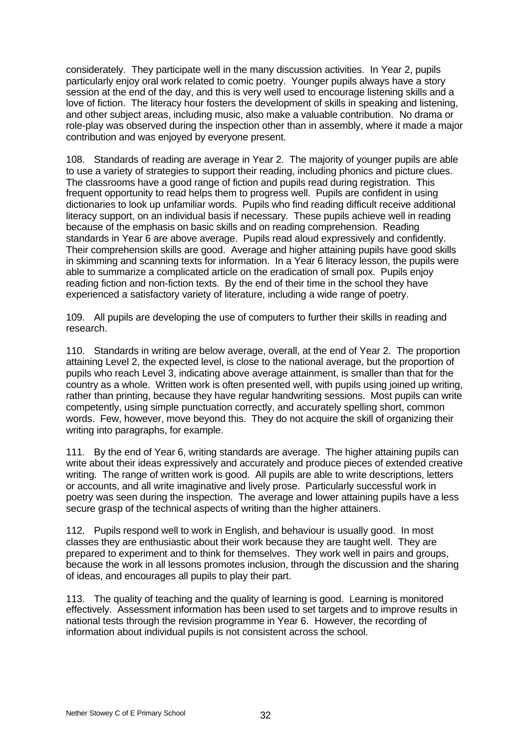considerately. They participate well in the many discussion activities. In Year 2, pupils particularly enjoy oral work related to comic poetry. Younger pupils always have a story session at the end of the day, and this is very well used to encourage listening skills and a love of fiction. The literacy hour fosters the development of skills in speaking and listening, and other subject areas, including music, also make a valuable contribution. No drama or role-play was observed during the inspection other than in assembly, where it made a major contribution and was enjoyed by everyone present.

108. Standards of reading are average in Year 2. The majority of younger pupils are able to use a variety of strategies to support their reading, including phonics and picture clues. The classrooms have a good range of fiction and pupils read during registration. This frequent opportunity to read helps them to progress well. Pupils are confident in using dictionaries to look up unfamiliar words. Pupils who find reading difficult receive additional literacy support, on an individual basis if necessary. These pupils achieve well in reading because of the emphasis on basic skills and on reading comprehension. Reading standards in Year 6 are above average. Pupils read aloud expressively and confidently. Their comprehension skills are good. Average and higher attaining pupils have good skills in skimming and scanning texts for information. In a Year 6 literacy lesson, the pupils were able to summarize a complicated article on the eradication of small pox. Pupils enjoy reading fiction and non-fiction texts. By the end of their time in the school they have experienced a satisfactory variety of literature, including a wide range of poetry.

109. All pupils are developing the use of computers to further their skills in reading and research.

110. Standards in writing are below average, overall, at the end of Year 2. The proportion attaining Level 2, the expected level, is close to the national average, but the proportion of pupils who reach Level 3, indicating above average attainment, is smaller than that for the country as a whole. Written work is often presented well, with pupils using joined up writing, rather than printing, because they have regular handwriting sessions. Most pupils can write competently, using simple punctuation correctly, and accurately spelling short, common words. Few, however, move beyond this. They do not acquire the skill of organizing their writing into paragraphs, for example.

111. By the end of Year 6, writing standards are average. The higher attaining pupils can write about their ideas expressively and accurately and produce pieces of extended creative writing. The range of written work is good. All pupils are able to write descriptions, letters or accounts, and all write imaginative and lively prose. Particularly successful work in poetry was seen during the inspection. The average and lower attaining pupils have a less secure grasp of the technical aspects of writing than the higher attainers.

112. Pupils respond well to work in English, and behaviour is usually good. In most classes they are enthusiastic about their work because they are taught well. They are prepared to experiment and to think for themselves. They work well in pairs and groups, because the work in all lessons promotes inclusion, through the discussion and the sharing of ideas, and encourages all pupils to play their part.

113. The quality of teaching and the quality of learning is good. Learning is monitored effectively. Assessment information has been used to set targets and to improve results in national tests through the revision programme in Year 6. However, the recording of information about individual pupils is not consistent across the school.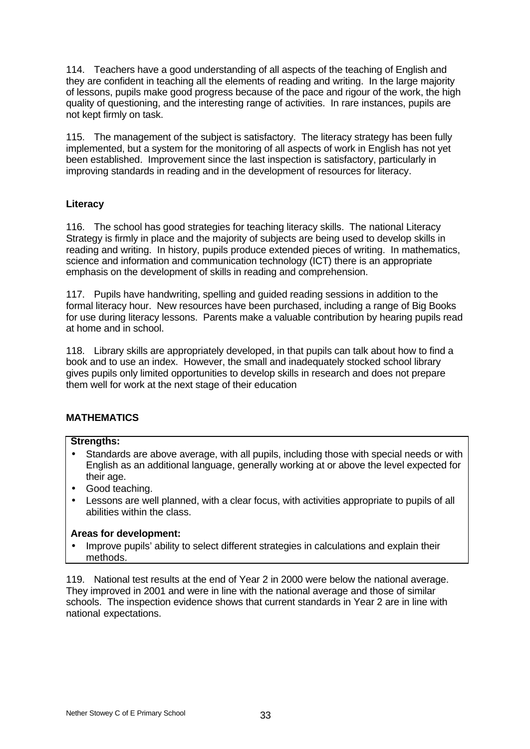114. Teachers have a good understanding of all aspects of the teaching of English and they are confident in teaching all the elements of reading and writing. In the large majority of lessons, pupils make good progress because of the pace and rigour of the work, the high quality of questioning, and the interesting range of activities. In rare instances, pupils are not kept firmly on task.

115. The management of the subject is satisfactory. The literacy strategy has been fully implemented, but a system for the monitoring of all aspects of work in English has not yet been established. Improvement since the last inspection is satisfactory, particularly in improving standards in reading and in the development of resources for literacy.

# **Literacy**

116. The school has good strategies for teaching literacy skills. The national Literacy Strategy is firmly in place and the majority of subjects are being used to develop skills in reading and writing. In history, pupils produce extended pieces of writing. In mathematics, science and information and communication technology (ICT) there is an appropriate emphasis on the development of skills in reading and comprehension.

117. Pupils have handwriting, spelling and guided reading sessions in addition to the formal literacy hour. New resources have been purchased, including a range of Big Books for use during literacy lessons. Parents make a valuable contribution by hearing pupils read at home and in school.

118. Library skills are appropriately developed, in that pupils can talk about how to find a book and to use an index. However, the small and inadequately stocked school library gives pupils only limited opportunities to develop skills in research and does not prepare them well for work at the next stage of their education

# **MATHEMATICS**

## **Strengths:**

- Standards are above average, with all pupils, including those with special needs or with English as an additional language, generally working at or above the level expected for their age.
- Good teaching.
- Lessons are well planned, with a clear focus, with activities appropriate to pupils of all abilities within the class.

## **Areas for development:**

• Improve pupils' ability to select different strategies in calculations and explain their methods.

119. National test results at the end of Year 2 in 2000 were below the national average. They improved in 2001 and were in line with the national average and those of similar schools. The inspection evidence shows that current standards in Year 2 are in line with national expectations.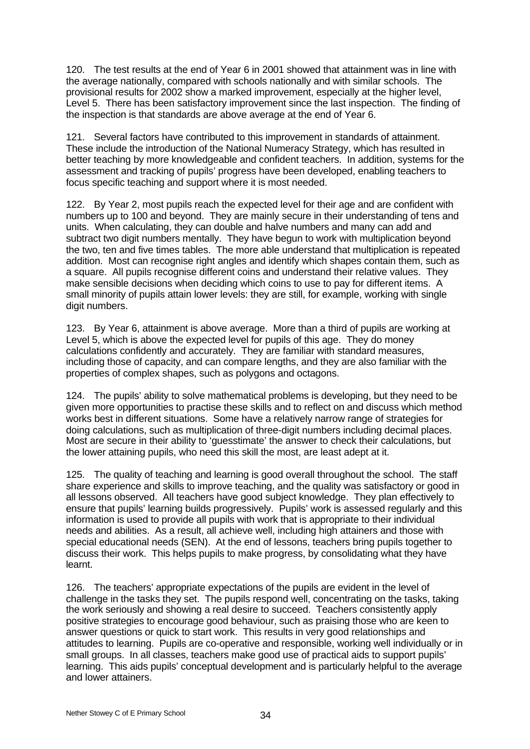120. The test results at the end of Year 6 in 2001 showed that attainment was in line with the average nationally, compared with schools nationally and with similar schools. The provisional results for 2002 show a marked improvement, especially at the higher level, Level 5. There has been satisfactory improvement since the last inspection. The finding of the inspection is that standards are above average at the end of Year 6.

121. Several factors have contributed to this improvement in standards of attainment. These include the introduction of the National Numeracy Strategy, which has resulted in better teaching by more knowledgeable and confident teachers. In addition, systems for the assessment and tracking of pupils' progress have been developed, enabling teachers to focus specific teaching and support where it is most needed.

122. By Year 2, most pupils reach the expected level for their age and are confident with numbers up to 100 and beyond. They are mainly secure in their understanding of tens and units. When calculating, they can double and halve numbers and many can add and subtract two digit numbers mentally. They have begun to work with multiplication beyond the two, ten and five times tables. The more able understand that multiplication is repeated addition. Most can recognise right angles and identify which shapes contain them, such as a square. All pupils recognise different coins and understand their relative values. They make sensible decisions when deciding which coins to use to pay for different items. A small minority of pupils attain lower levels: they are still, for example, working with single digit numbers.

123. By Year 6, attainment is above average. More than a third of pupils are working at Level 5, which is above the expected level for pupils of this age. They do money calculations confidently and accurately. They are familiar with standard measures, including those of capacity, and can compare lengths, and they are also familiar with the properties of complex shapes, such as polygons and octagons.

124. The pupils' ability to solve mathematical problems is developing, but they need to be given more opportunities to practise these skills and to reflect on and discuss which method works best in different situations. Some have a relatively narrow range of strategies for doing calculations, such as multiplication of three-digit numbers including decimal places. Most are secure in their ability to 'guesstimate' the answer to check their calculations, but the lower attaining pupils, who need this skill the most, are least adept at it.

125. The quality of teaching and learning is good overall throughout the school. The staff share experience and skills to improve teaching, and the quality was satisfactory or good in all lessons observed. All teachers have good subject knowledge. They plan effectively to ensure that pupils' learning builds progressively. Pupils' work is assessed regularly and this information is used to provide all pupils with work that is appropriate to their individual needs and abilities. As a result, all achieve well, including high attainers and those with special educational needs (SEN). At the end of lessons, teachers bring pupils together to discuss their work. This helps pupils to make progress, by consolidating what they have learnt.

126. The teachers' appropriate expectations of the pupils are evident in the level of challenge in the tasks they set. The pupils respond well, concentrating on the tasks, taking the work seriously and showing a real desire to succeed. Teachers consistently apply positive strategies to encourage good behaviour, such as praising those who are keen to answer questions or quick to start work. This results in very good relationships and attitudes to learning. Pupils are co-operative and responsible, working well individually or in small groups. In all classes, teachers make good use of practical aids to support pupils' learning. This aids pupils' conceptual development and is particularly helpful to the average and lower attainers.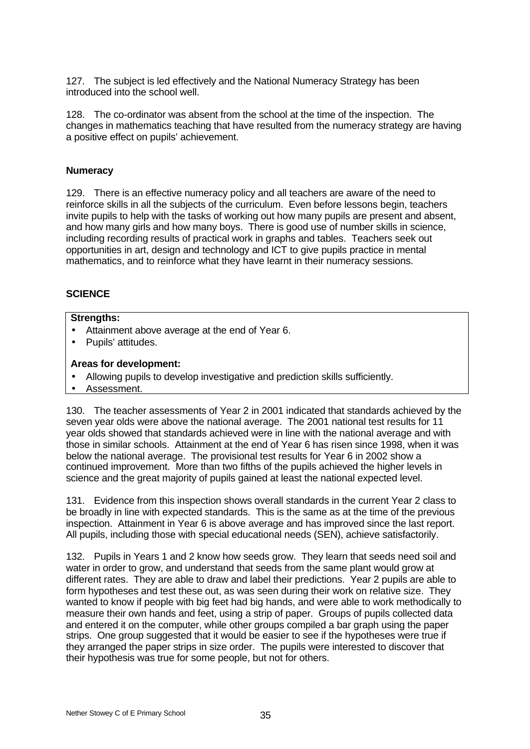127. The subject is led effectively and the National Numeracy Strategy has been introduced into the school well.

128. The co-ordinator was absent from the school at the time of the inspection. The changes in mathematics teaching that have resulted from the numeracy strategy are having a positive effect on pupils' achievement.

# **Numeracy**

129. There is an effective numeracy policy and all teachers are aware of the need to reinforce skills in all the subjects of the curriculum. Even before lessons begin, teachers invite pupils to help with the tasks of working out how many pupils are present and absent, and how many girls and how many boys. There is good use of number skills in science, including recording results of practical work in graphs and tables. Teachers seek out opportunities in art, design and technology and ICT to give pupils practice in mental mathematics, and to reinforce what they have learnt in their numeracy sessions.

# **SCIENCE**

## **Strengths:**

- Attainment above average at the end of Year 6.
- Pupils' attitudes.

# **Areas for development:**

- Allowing pupils to develop investigative and prediction skills sufficiently.
- Assessment.

130. The teacher assessments of Year 2 in 2001 indicated that standards achieved by the seven year olds were above the national average. The 2001 national test results for 11 year olds showed that standards achieved were in line with the national average and with those in similar schools. Attainment at the end of Year 6 has risen since 1998, when it was below the national average. The provisional test results for Year 6 in 2002 show a continued improvement. More than two fifths of the pupils achieved the higher levels in science and the great majority of pupils gained at least the national expected level.

131. Evidence from this inspection shows overall standards in the current Year 2 class to be broadly in line with expected standards. This is the same as at the time of the previous inspection. Attainment in Year 6 is above average and has improved since the last report. All pupils, including those with special educational needs (SEN), achieve satisfactorily.

132. Pupils in Years 1 and 2 know how seeds grow. They learn that seeds need soil and water in order to grow, and understand that seeds from the same plant would grow at different rates. They are able to draw and label their predictions. Year 2 pupils are able to form hypotheses and test these out, as was seen during their work on relative size. They wanted to know if people with big feet had big hands, and were able to work methodically to measure their own hands and feet, using a strip of paper. Groups of pupils collected data and entered it on the computer, while other groups compiled a bar graph using the paper strips. One group suggested that it would be easier to see if the hypotheses were true if they arranged the paper strips in size order. The pupils were interested to discover that their hypothesis was true for some people, but not for others.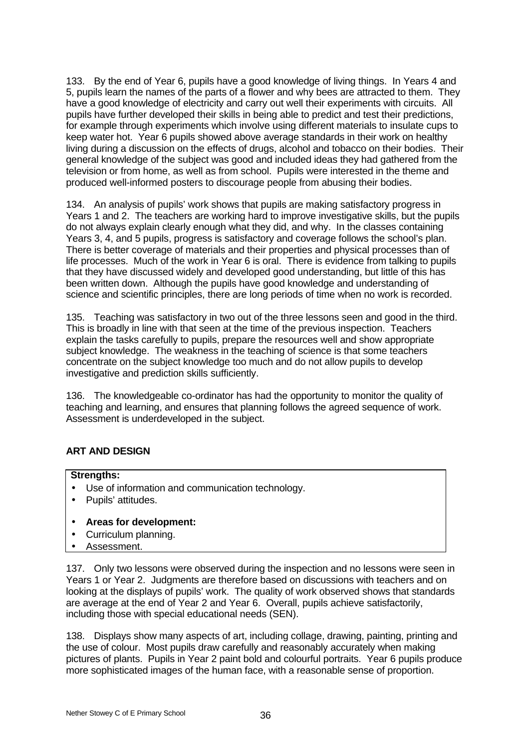133. By the end of Year 6, pupils have a good knowledge of living things. In Years 4 and 5, pupils learn the names of the parts of a flower and why bees are attracted to them. They have a good knowledge of electricity and carry out well their experiments with circuits. All pupils have further developed their skills in being able to predict and test their predictions, for example through experiments which involve using different materials to insulate cups to keep water hot. Year 6 pupils showed above average standards in their work on healthy living during a discussion on the effects of drugs, alcohol and tobacco on their bodies. Their general knowledge of the subject was good and included ideas they had gathered from the television or from home, as well as from school. Pupils were interested in the theme and produced well-informed posters to discourage people from abusing their bodies.

134. An analysis of pupils' work shows that pupils are making satisfactory progress in Years 1 and 2. The teachers are working hard to improve investigative skills, but the pupils do not always explain clearly enough what they did, and why. In the classes containing Years 3, 4, and 5 pupils, progress is satisfactory and coverage follows the school's plan. There is better coverage of materials and their properties and physical processes than of life processes. Much of the work in Year 6 is oral. There is evidence from talking to pupils that they have discussed widely and developed good understanding, but little of this has been written down. Although the pupils have good knowledge and understanding of science and scientific principles, there are long periods of time when no work is recorded.

135. Teaching was satisfactory in two out of the three lessons seen and good in the third. This is broadly in line with that seen at the time of the previous inspection. Teachers explain the tasks carefully to pupils, prepare the resources well and show appropriate subject knowledge. The weakness in the teaching of science is that some teachers concentrate on the subject knowledge too much and do not allow pupils to develop investigative and prediction skills sufficiently.

136. The knowledgeable co-ordinator has had the opportunity to monitor the quality of teaching and learning, and ensures that planning follows the agreed sequence of work. Assessment is underdeveloped in the subject.

# **ART AND DESIGN**

## **Strengths:**

- Use of information and communication technology.
- Pupils' attitudes.
- **Areas for development:**
- Curriculum planning.
- Assessment.

137. Only two lessons were observed during the inspection and no lessons were seen in Years 1 or Year 2. Judgments are therefore based on discussions with teachers and on looking at the displays of pupils' work. The quality of work observed shows that standards are average at the end of Year 2 and Year 6. Overall, pupils achieve satisfactorily, including those with special educational needs (SEN).

138. Displays show many aspects of art, including collage, drawing, painting, printing and the use of colour. Most pupils draw carefully and reasonably accurately when making pictures of plants. Pupils in Year 2 paint bold and colourful portraits. Year 6 pupils produce more sophisticated images of the human face, with a reasonable sense of proportion.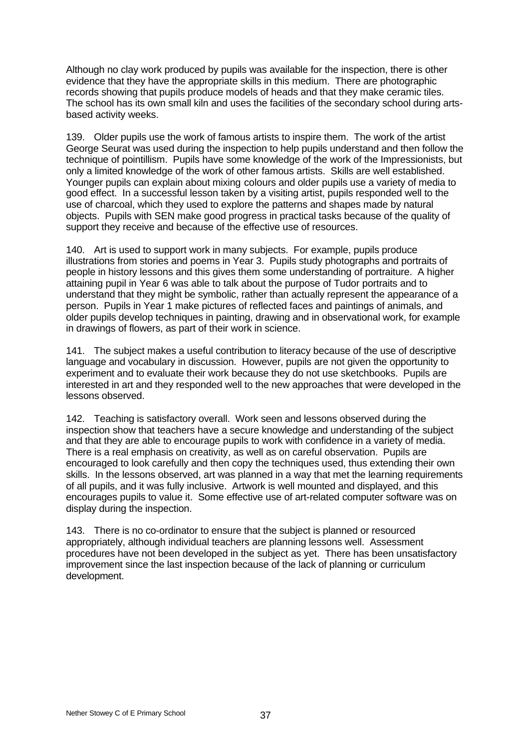Although no clay work produced by pupils was available for the inspection, there is other evidence that they have the appropriate skills in this medium. There are photographic records showing that pupils produce models of heads and that they make ceramic tiles. The school has its own small kiln and uses the facilities of the secondary school during artsbased activity weeks.

139. Older pupils use the work of famous artists to inspire them. The work of the artist George Seurat was used during the inspection to help pupils understand and then follow the technique of pointillism. Pupils have some knowledge of the work of the Impressionists, but only a limited knowledge of the work of other famous artists. Skills are well established. Younger pupils can explain about mixing colours and older pupils use a variety of media to good effect. In a successful lesson taken by a visiting artist, pupils responded well to the use of charcoal, which they used to explore the patterns and shapes made by natural objects. Pupils with SEN make good progress in practical tasks because of the quality of support they receive and because of the effective use of resources.

140. Art is used to support work in many subjects. For example, pupils produce illustrations from stories and poems in Year 3. Pupils study photographs and portraits of people in history lessons and this gives them some understanding of portraiture. A higher attaining pupil in Year 6 was able to talk about the purpose of Tudor portraits and to understand that they might be symbolic, rather than actually represent the appearance of a person. Pupils in Year 1 make pictures of reflected faces and paintings of animals, and older pupils develop techniques in painting, drawing and in observational work, for example in drawings of flowers, as part of their work in science.

141. The subject makes a useful contribution to literacy because of the use of descriptive language and vocabulary in discussion. However, pupils are not given the opportunity to experiment and to evaluate their work because they do not use sketchbooks. Pupils are interested in art and they responded well to the new approaches that were developed in the lessons observed.

142. Teaching is satisfactory overall. Work seen and lessons observed during the inspection show that teachers have a secure knowledge and understanding of the subject and that they are able to encourage pupils to work with confidence in a variety of media. There is a real emphasis on creativity, as well as on careful observation. Pupils are encouraged to look carefully and then copy the techniques used, thus extending their own skills. In the lessons observed, art was planned in a way that met the learning requirements of all pupils, and it was fully inclusive. Artwork is well mounted and displayed, and this encourages pupils to value it. Some effective use of art-related computer software was on display during the inspection.

143. There is no co-ordinator to ensure that the subject is planned or resourced appropriately, although individual teachers are planning lessons well. Assessment procedures have not been developed in the subject as yet. There has been unsatisfactory improvement since the last inspection because of the lack of planning or curriculum development.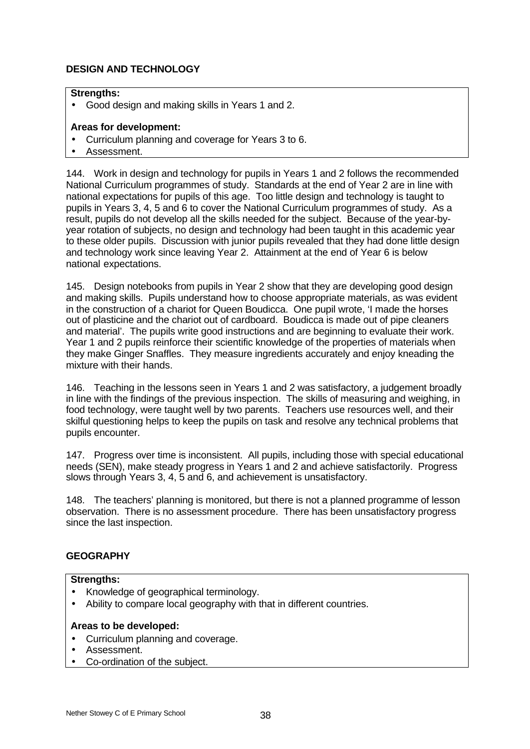# **DESIGN AND TECHNOLOGY**

## **Strengths:**

• Good design and making skills in Years 1 and 2.

# **Areas for development:**

- Curriculum planning and coverage for Years 3 to 6.
- Assessment.

144. Work in design and technology for pupils in Years 1 and 2 follows the recommended National Curriculum programmes of study. Standards at the end of Year 2 are in line with national expectations for pupils of this age. Too little design and technology is taught to pupils in Years 3, 4, 5 and 6 to cover the National Curriculum programmes of study. As a result, pupils do not develop all the skills needed for the subject. Because of the year-byyear rotation of subjects, no design and technology had been taught in this academic year to these older pupils. Discussion with junior pupils revealed that they had done little design and technology work since leaving Year 2. Attainment at the end of Year 6 is below national expectations.

145. Design notebooks from pupils in Year 2 show that they are developing good design and making skills. Pupils understand how to choose appropriate materials, as was evident in the construction of a chariot for Queen Boudicca. One pupil wrote, 'I made the horses out of plasticine and the chariot out of cardboard. Boudicca is made out of pipe cleaners and material'. The pupils write good instructions and are beginning to evaluate their work. Year 1 and 2 pupils reinforce their scientific knowledge of the properties of materials when they make Ginger Snaffles. They measure ingredients accurately and enjoy kneading the mixture with their hands.

146. Teaching in the lessons seen in Years 1 and 2 was satisfactory, a judgement broadly in line with the findings of the previous inspection. The skills of measuring and weighing, in food technology, were taught well by two parents. Teachers use resources well, and their skilful questioning helps to keep the pupils on task and resolve any technical problems that pupils encounter.

147. Progress over time is inconsistent. All pupils, including those with special educational needs (SEN), make steady progress in Years 1 and 2 and achieve satisfactorily. Progress slows through Years 3, 4, 5 and 6, and achievement is unsatisfactory.

148. The teachers' planning is monitored, but there is not a planned programme of lesson observation. There is no assessment procedure. There has been unsatisfactory progress since the last inspection.

# **GEOGRAPHY**

## **Strengths:**

- Knowledge of geographical terminology.
- Ability to compare local geography with that in different countries.

# **Areas to be developed:**

- Curriculum planning and coverage.
- Assessment.
- Co-ordination of the subject.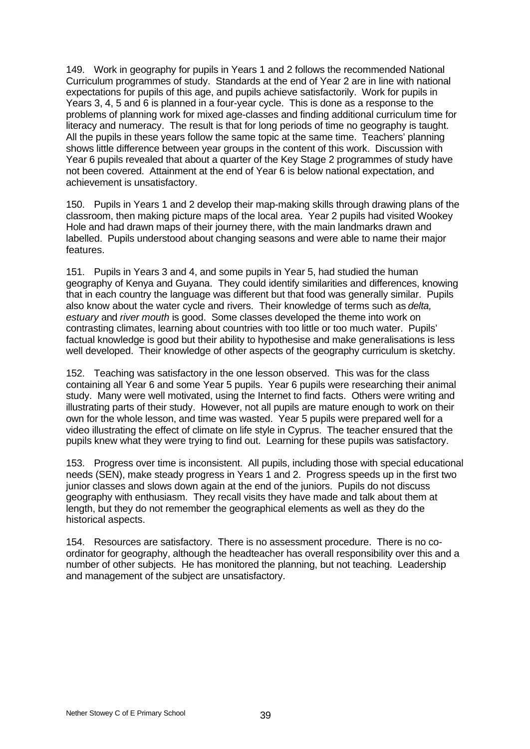149. Work in geography for pupils in Years 1 and 2 follows the recommended National Curriculum programmes of study. Standards at the end of Year 2 are in line with national expectations for pupils of this age, and pupils achieve satisfactorily. Work for pupils in Years 3, 4, 5 and 6 is planned in a four-year cycle. This is done as a response to the problems of planning work for mixed age-classes and finding additional curriculum time for literacy and numeracy. The result is that for long periods of time no geography is taught. All the pupils in these years follow the same topic at the same time. Teachers' planning shows little difference between year groups in the content of this work. Discussion with Year 6 pupils revealed that about a quarter of the Key Stage 2 programmes of study have not been covered. Attainment at the end of Year 6 is below national expectation, and achievement is unsatisfactory.

150. Pupils in Years 1 and 2 develop their map-making skills through drawing plans of the classroom, then making picture maps of the local area. Year 2 pupils had visited Wookey Hole and had drawn maps of their journey there, with the main landmarks drawn and labelled. Pupils understood about changing seasons and were able to name their major features.

151. Pupils in Years 3 and 4, and some pupils in Year 5, had studied the human geography of Kenya and Guyana. They could identify similarities and differences, knowing that in each country the language was different but that food was generally similar. Pupils also know about the water cycle and rivers. Their knowledge of terms such as *delta, estuary* and *river mouth* is good. Some classes developed the theme into work on contrasting climates, learning about countries with too little or too much water. Pupils' factual knowledge is good but their ability to hypothesise and make generalisations is less well developed. Their knowledge of other aspects of the geography curriculum is sketchy.

152. Teaching was satisfactory in the one lesson observed. This was for the class containing all Year 6 and some Year 5 pupils. Year 6 pupils were researching their animal study. Many were well motivated, using the Internet to find facts. Others were writing and illustrating parts of their study. However, not all pupils are mature enough to work on their own for the whole lesson, and time was wasted. Year 5 pupils were prepared well for a video illustrating the effect of climate on life style in Cyprus. The teacher ensured that the pupils knew what they were trying to find out. Learning for these pupils was satisfactory.

153. Progress over time is inconsistent. All pupils, including those with special educational needs (SEN), make steady progress in Years 1 and 2. Progress speeds up in the first two junior classes and slows down again at the end of the juniors. Pupils do not discuss geography with enthusiasm. They recall visits they have made and talk about them at length, but they do not remember the geographical elements as well as they do the historical aspects.

154. Resources are satisfactory. There is no assessment procedure. There is no coordinator for geography, although the headteacher has overall responsibility over this and a number of other subjects. He has monitored the planning, but not teaching. Leadership and management of the subject are unsatisfactory.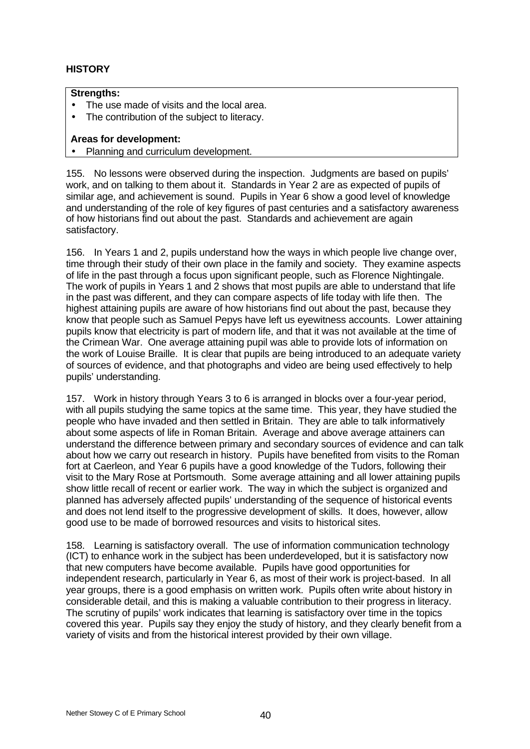# **HISTORY**

## **Strengths:**

- The use made of visits and the local area.
- The contribution of the subject to literacy.

# **Areas for development:**

• Planning and curriculum development.

155. No lessons were observed during the inspection. Judgments are based on pupils' work, and on talking to them about it. Standards in Year 2 are as expected of pupils of similar age, and achievement is sound. Pupils in Year 6 show a good level of knowledge and understanding of the role of key figures of past centuries and a satisfactory awareness of how historians find out about the past. Standards and achievement are again satisfactory.

156. In Years 1 and 2, pupils understand how the ways in which people live change over, time through their study of their own place in the family and society. They examine aspects of life in the past through a focus upon significant people, such as Florence Nightingale. The work of pupils in Years 1 and 2 shows that most pupils are able to understand that life in the past was different, and they can compare aspects of life today with life then. The highest attaining pupils are aware of how historians find out about the past, because they know that people such as Samuel Pepys have left us eyewitness accounts. Lower attaining pupils know that electricity is part of modern life, and that it was not available at the time of the Crimean War. One average attaining pupil was able to provide lots of information on the work of Louise Braille. It is clear that pupils are being introduced to an adequate variety of sources of evidence, and that photographs and video are being used effectively to help pupils' understanding.

157. Work in history through Years 3 to 6 is arranged in blocks over a four-year period, with all pupils studying the same topics at the same time. This year, they have studied the people who have invaded and then settled in Britain. They are able to talk informatively about some aspects of life in Roman Britain. Average and above average attainers can understand the difference between primary and secondary sources of evidence and can talk about how we carry out research in history. Pupils have benefited from visits to the Roman fort at Caerleon, and Year 6 pupils have a good knowledge of the Tudors, following their visit to the Mary Rose at Portsmouth. Some average attaining and all lower attaining pupils show little recall of recent or earlier work. The way in which the subject is organized and planned has adversely affected pupils' understanding of the sequence of historical events and does not lend itself to the progressive development of skills. It does, however, allow good use to be made of borrowed resources and visits to historical sites.

158. Learning is satisfactory overall. The use of information communication technology (ICT) to enhance work in the subject has been underdeveloped, but it is satisfactory now that new computers have become available. Pupils have good opportunities for independent research, particularly in Year 6, as most of their work is project-based. In all year groups, there is a good emphasis on written work. Pupils often write about history in considerable detail, and this is making a valuable contribution to their progress in literacy. The scrutiny of pupils' work indicates that learning is satisfactory over time in the topics covered this year. Pupils say they enjoy the study of history, and they clearly benefit from a variety of visits and from the historical interest provided by their own village.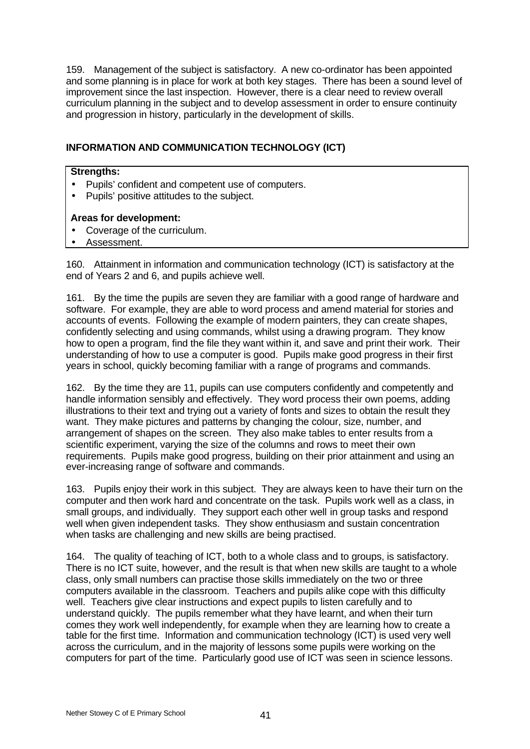159. Management of the subject is satisfactory. A new co-ordinator has been appointed and some planning is in place for work at both key stages. There has been a sound level of improvement since the last inspection. However, there is a clear need to review overall curriculum planning in the subject and to develop assessment in order to ensure continuity and progression in history, particularly in the development of skills.

# **INFORMATION AND COMMUNICATION TECHNOLOGY (ICT)**

## **Strengths:**

- Pupils' confident and competent use of computers.
- Pupils' positive attitudes to the subject.

## **Areas for development:**

- Coverage of the curriculum.
- Assessment.

160. Attainment in information and communication technology (ICT) is satisfactory at the end of Years 2 and 6, and pupils achieve well.

161. By the time the pupils are seven they are familiar with a good range of hardware and software. For example, they are able to word process and amend material for stories and accounts of events. Following the example of modern painters, they can create shapes, confidently selecting and using commands, whilst using a drawing program. They know how to open a program, find the file they want within it, and save and print their work. Their understanding of how to use a computer is good. Pupils make good progress in their first years in school, quickly becoming familiar with a range of programs and commands.

162. By the time they are 11, pupils can use computers confidently and competently and handle information sensibly and effectively. They word process their own poems, adding illustrations to their text and trying out a variety of fonts and sizes to obtain the result they want. They make pictures and patterns by changing the colour, size, number, and arrangement of shapes on the screen. They also make tables to enter results from a scientific experiment, varying the size of the columns and rows to meet their own requirements. Pupils make good progress, building on their prior attainment and using an ever-increasing range of software and commands.

163. Pupils enjoy their work in this subject. They are always keen to have their turn on the computer and then work hard and concentrate on the task. Pupils work well as a class, in small groups, and individually. They support each other well in group tasks and respond well when given independent tasks. They show enthusiasm and sustain concentration when tasks are challenging and new skills are being practised.

164. The quality of teaching of ICT, both to a whole class and to groups, is satisfactory. There is no ICT suite, however, and the result is that when new skills are taught to a whole class, only small numbers can practise those skills immediately on the two or three computers available in the classroom. Teachers and pupils alike cope with this difficulty well. Teachers give clear instructions and expect pupils to listen carefully and to understand quickly. The pupils remember what they have learnt, and when their turn comes they work well independently, for example when they are learning how to create a table for the first time. Information and communication technology (ICT) is used very well across the curriculum, and in the majority of lessons some pupils were working on the computers for part of the time. Particularly good use of ICT was seen in science lessons.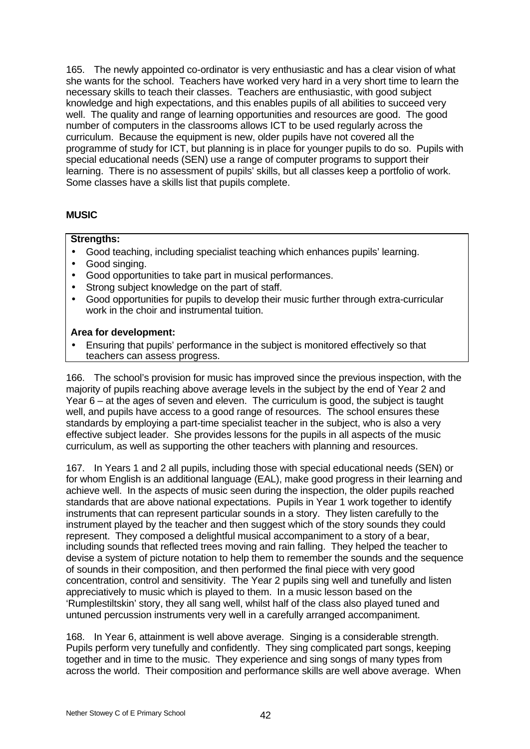165. The newly appointed co-ordinator is very enthusiastic and has a clear vision of what she wants for the school. Teachers have worked very hard in a very short time to learn the necessary skills to teach their classes. Teachers are enthusiastic, with good subject knowledge and high expectations, and this enables pupils of all abilities to succeed very well. The quality and range of learning opportunities and resources are good. The good number of computers in the classrooms allows ICT to be used regularly across the curriculum. Because the equipment is new, older pupils have not covered all the programme of study for ICT, but planning is in place for younger pupils to do so. Pupils with special educational needs (SEN) use a range of computer programs to support their learning. There is no assessment of pupils' skills, but all classes keep a portfolio of work. Some classes have a skills list that pupils complete.

# **MUSIC**

# **Strengths:**

- Good teaching, including specialist teaching which enhances pupils' learning.
- Good singing.
- Good opportunities to take part in musical performances.
- Strong subject knowledge on the part of staff.
- Good opportunities for pupils to develop their music further through extra-curricular work in the choir and instrumental tuition.

# **Area for development:**

• Ensuring that pupils' performance in the subject is monitored effectively so that teachers can assess progress.

166. The school's provision for music has improved since the previous inspection, with the majority of pupils reaching above average levels in the subject by the end of Year 2 and Year 6 – at the ages of seven and eleven. The curriculum is good, the subject is taught well, and pupils have access to a good range of resources. The school ensures these standards by employing a part-time specialist teacher in the subject, who is also a very effective subject leader. She provides lessons for the pupils in all aspects of the music curriculum, as well as supporting the other teachers with planning and resources.

167. In Years 1 and 2 all pupils, including those with special educational needs (SEN) or for whom English is an additional language (EAL), make good progress in their learning and achieve well. In the aspects of music seen during the inspection, the older pupils reached standards that are above national expectations. Pupils in Year 1 work together to identify instruments that can represent particular sounds in a story. They listen carefully to the instrument played by the teacher and then suggest which of the story sounds they could represent. They composed a delightful musical accompaniment to a story of a bear, including sounds that reflected trees moving and rain falling. They helped the teacher to devise a system of picture notation to help them to remember the sounds and the sequence of sounds in their composition, and then performed the final piece with very good concentration, control and sensitivity. The Year 2 pupils sing well and tunefully and listen appreciatively to music which is played to them. In a music lesson based on the 'Rumplestiltskin' story, they all sang well, whilst half of the class also played tuned and untuned percussion instruments very well in a carefully arranged accompaniment.

168. In Year 6, attainment is well above average. Singing is a considerable strength. Pupils perform very tunefully and confidently. They sing complicated part songs, keeping together and in time to the music. They experience and sing songs of many types from across the world. Their composition and performance skills are well above average. When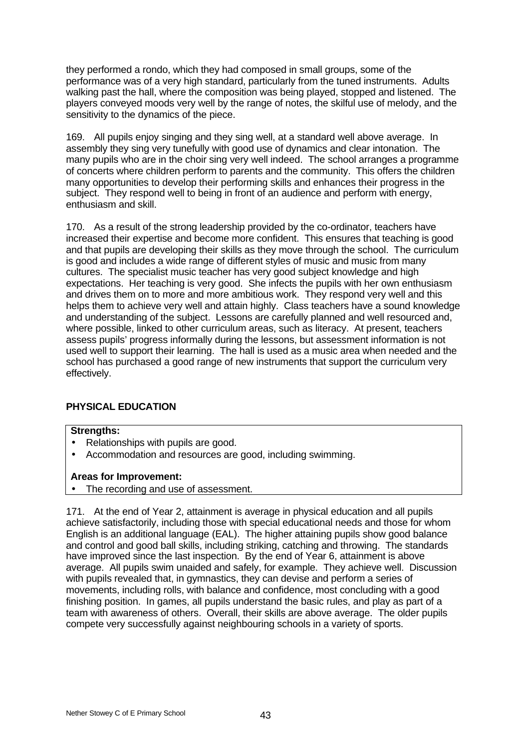they performed a rondo, which they had composed in small groups, some of the performance was of a very high standard, particularly from the tuned instruments. Adults walking past the hall, where the composition was being played, stopped and listened. The players conveyed moods very well by the range of notes, the skilful use of melody, and the sensitivity to the dynamics of the piece.

169. All pupils enjoy singing and they sing well, at a standard well above average. In assembly they sing very tunefully with good use of dynamics and clear intonation. The many pupils who are in the choir sing very well indeed. The school arranges a programme of concerts where children perform to parents and the community. This offers the children many opportunities to develop their performing skills and enhances their progress in the subject. They respond well to being in front of an audience and perform with energy, enthusiasm and skill.

170. As a result of the strong leadership provided by the co-ordinator, teachers have increased their expertise and become more confident. This ensures that teaching is good and that pupils are developing their skills as they move through the school. The curriculum is good and includes a wide range of different styles of music and music from many cultures. The specialist music teacher has very good subject knowledge and high expectations. Her teaching is very good. She infects the pupils with her own enthusiasm and drives them on to more and more ambitious work. They respond very well and this helps them to achieve very well and attain highly. Class teachers have a sound knowledge and understanding of the subject. Lessons are carefully planned and well resourced and, where possible, linked to other curriculum areas, such as literacy. At present, teachers assess pupils' progress informally during the lessons, but assessment information is not used well to support their learning. The hall is used as a music area when needed and the school has purchased a good range of new instruments that support the curriculum very effectively.

# **PHYSICAL EDUCATION**

# **Strengths:**

- Relationships with pupils are good.
- Accommodation and resources are good, including swimming.

# **Areas for Improvement:**

• The recording and use of assessment.

171. At the end of Year 2, attainment is average in physical education and all pupils achieve satisfactorily, including those with special educational needs and those for whom English is an additional language (EAL). The higher attaining pupils show good balance and control and good ball skills, including striking, catching and throwing. The standards have improved since the last inspection. By the end of Year 6, attainment is above average. All pupils swim unaided and safely, for example. They achieve well. Discussion with pupils revealed that, in gymnastics, they can devise and perform a series of movements, including rolls, with balance and confidence, most concluding with a good finishing position. In games, all pupils understand the basic rules, and play as part of a team with awareness of others. Overall, their skills are above average. The older pupils compete very successfully against neighbouring schools in a variety of sports.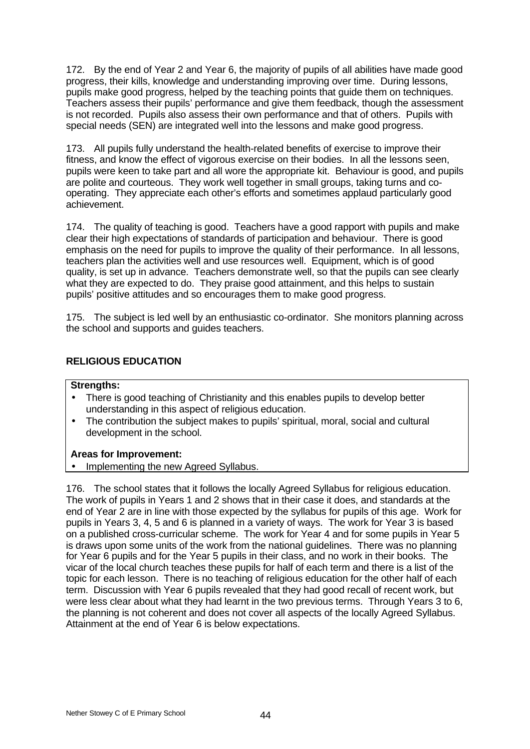172. By the end of Year 2 and Year 6, the majority of pupils of all abilities have made good progress, their kills, knowledge and understanding improving over time. During lessons, pupils make good progress, helped by the teaching points that guide them on techniques. Teachers assess their pupils' performance and give them feedback, though the assessment is not recorded. Pupils also assess their own performance and that of others. Pupils with special needs (SEN) are integrated well into the lessons and make good progress.

173. All pupils fully understand the health-related benefits of exercise to improve their fitness, and know the effect of vigorous exercise on their bodies. In all the lessons seen, pupils were keen to take part and all wore the appropriate kit. Behaviour is good, and pupils are polite and courteous. They work well together in small groups, taking turns and cooperating. They appreciate each other's efforts and sometimes applaud particularly good achievement.

174. The quality of teaching is good. Teachers have a good rapport with pupils and make clear their high expectations of standards of participation and behaviour. There is good emphasis on the need for pupils to improve the quality of their performance. In all lessons, teachers plan the activities well and use resources well. Equipment, which is of good quality, is set up in advance. Teachers demonstrate well, so that the pupils can see clearly what they are expected to do. They praise good attainment, and this helps to sustain pupils' positive attitudes and so encourages them to make good progress.

175. The subject is led well by an enthusiastic co-ordinator. She monitors planning across the school and supports and guides teachers.

# **RELIGIOUS EDUCATION**

## **Strengths:**

- There is good teaching of Christianity and this enables pupils to develop better understanding in this aspect of religious education.
- The contribution the subject makes to pupils' spiritual, moral, social and cultural development in the school.

## **Areas for Improvement:**

• Implementing the new Agreed Syllabus.

176. The school states that it follows the locally Agreed Syllabus for religious education. The work of pupils in Years 1 and 2 shows that in their case it does, and standards at the end of Year 2 are in line with those expected by the syllabus for pupils of this age. Work for pupils in Years 3, 4, 5 and 6 is planned in a variety of ways. The work for Year 3 is based on a published cross-curricular scheme. The work for Year 4 and for some pupils in Year 5 is draws upon some units of the work from the national guidelines. There was no planning for Year 6 pupils and for the Year 5 pupils in their class, and no work in their books. The vicar of the local church teaches these pupils for half of each term and there is a list of the topic for each lesson. There is no teaching of religious education for the other half of each term. Discussion with Year 6 pupils revealed that they had good recall of recent work, but were less clear about what they had learnt in the two previous terms. Through Years 3 to 6, the planning is not coherent and does not cover all aspects of the locally Agreed Syllabus. Attainment at the end of Year 6 is below expectations.